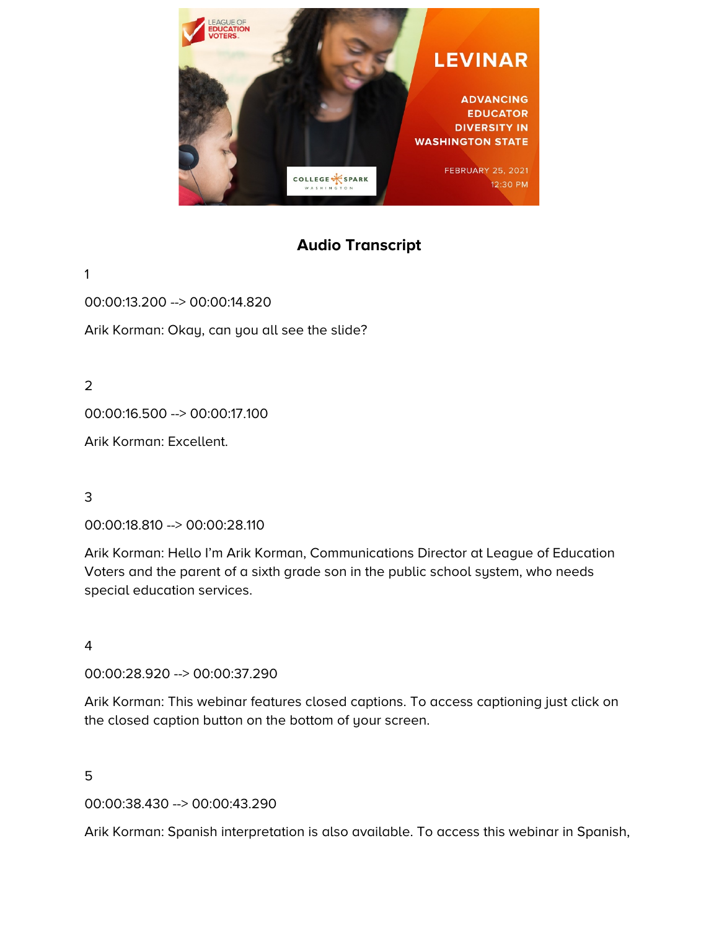

# **Audio Transcript**

1

00:00:13.200 --> 00:00:14.820

Arik Korman: Okay, can you all see the slide?

2

00:00:16.500 --> 00:00:17.100

Arik Korman: Excellent.

3

00:00:18.810 --> 00:00:28.110

Arik Korman: Hello I'm Arik Korman, Communications Director at League of Education Voters and the parent of a sixth grade son in the public school system, who needs special education services.

4

00:00:28.920 --> 00:00:37.290

Arik Korman: This webinar features closed captions. To access captioning just click on the closed caption button on the bottom of your screen.

5

00:00:38.430 --> 00:00:43.290

Arik Korman: Spanish interpretation is also available. To access this webinar in Spanish,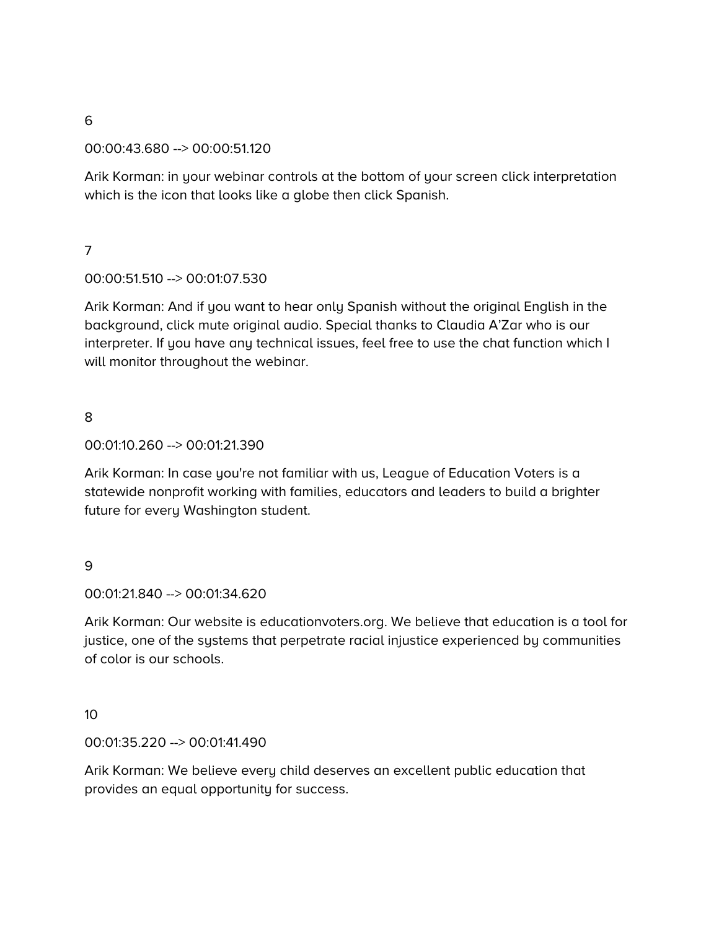#### 00:00:43.680 --> 00:00:51.120

Arik Korman: in your webinar controls at the bottom of your screen click interpretation which is the icon that looks like a globe then click Spanish.

## 7

## 00:00:51.510 --> 00:01:07.530

Arik Korman: And if you want to hear only Spanish without the original English in the background, click mute original audio. Special thanks to Claudia A'Zar who is our interpreter. If you have any technical issues, feel free to use the chat function which I will monitor throughout the webinar.

# 8

#### 00:01:10.260 --> 00:01:21.390

Arik Korman: In case you're not familiar with us, League of Education Voters is a statewide nonprofit working with families, educators and leaders to build a brighter future for every Washington student.

#### 9

#### 00:01:21.840 --> 00:01:34.620

Arik Korman: Our website is educationvoters.org. We believe that education is a tool for justice, one of the systems that perpetrate racial injustice experienced by communities of color is our schools.

#### 10

#### 00:01:35.220 --> 00:01:41.490

Arik Korman: We believe every child deserves an excellent public education that provides an equal opportunity for success.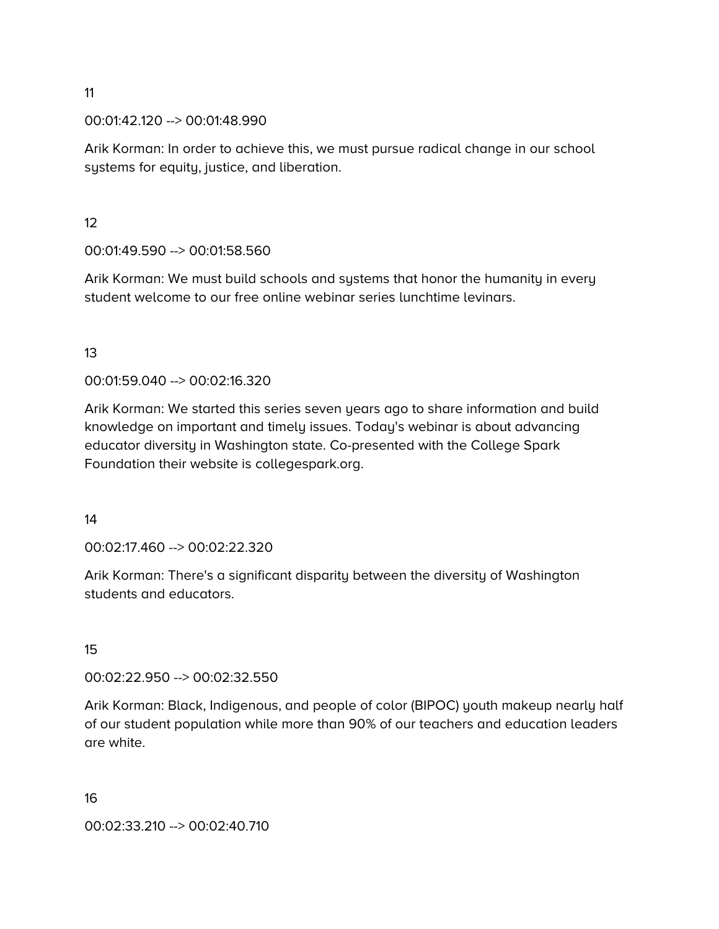#### 00:01:42.120 --> 00:01:48.990

Arik Korman: In order to achieve this, we must pursue radical change in our school systems for equity, justice, and liberation.

12

00:01:49.590 --> 00:01:58.560

Arik Korman: We must build schools and systems that honor the humanity in every student welcome to our free online webinar series lunchtime levinars.

13

00:01:59.040 --> 00:02:16.320

Arik Korman: We started this series seven years ago to share information and build knowledge on important and timely issues. Today's webinar is about advancing educator diversity in Washington state. Co-presented with the College Spark Foundation their website is collegespark.org.

14

00:02:17.460 --> 00:02:22.320

Arik Korman: There's a significant disparity between the diversity of Washington students and educators.

15

00:02:22.950 --> 00:02:32.550

Arik Korman: Black, Indigenous, and people of color (BIPOC) youth makeup nearly half of our student population while more than 90% of our teachers and education leaders are white.

16

00:02:33.210 --> 00:02:40.710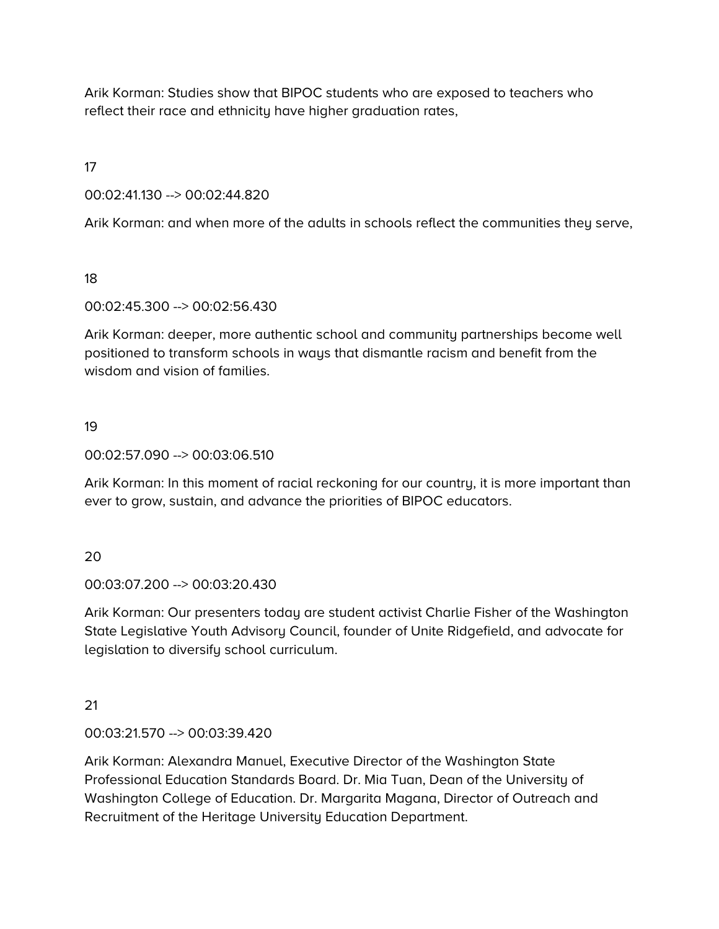Arik Korman: Studies show that BIPOC students who are exposed to teachers who reflect their race and ethnicity have higher graduation rates,

17

00:02:41.130 --> 00:02:44.820

Arik Korman: and when more of the adults in schools reflect the communities they serve,

18

00:02:45.300 --> 00:02:56.430

Arik Korman: deeper, more authentic school and community partnerships become well positioned to transform schools in ways that dismantle racism and benefit from the wisdom and vision of families.

# 19

00:02:57.090 --> 00:03:06.510

Arik Korman: In this moment of racial reckoning for our country, it is more important than ever to grow, sustain, and advance the priorities of BIPOC educators.

# 20

00:03:07.200 --> 00:03:20.430

Arik Korman: Our presenters today are student activist Charlie Fisher of the Washington State Legislative Youth Advisory Council, founder of Unite Ridgefield, and advocate for legislation to diversify school curriculum.

# 21

00:03:21.570 --> 00:03:39.420

Arik Korman: Alexandra Manuel, Executive Director of the Washington State Professional Education Standards Board. Dr. Mia Tuan, Dean of the University of Washington College of Education. Dr. Margarita Magana, Director of Outreach and Recruitment of the Heritage University Education Department.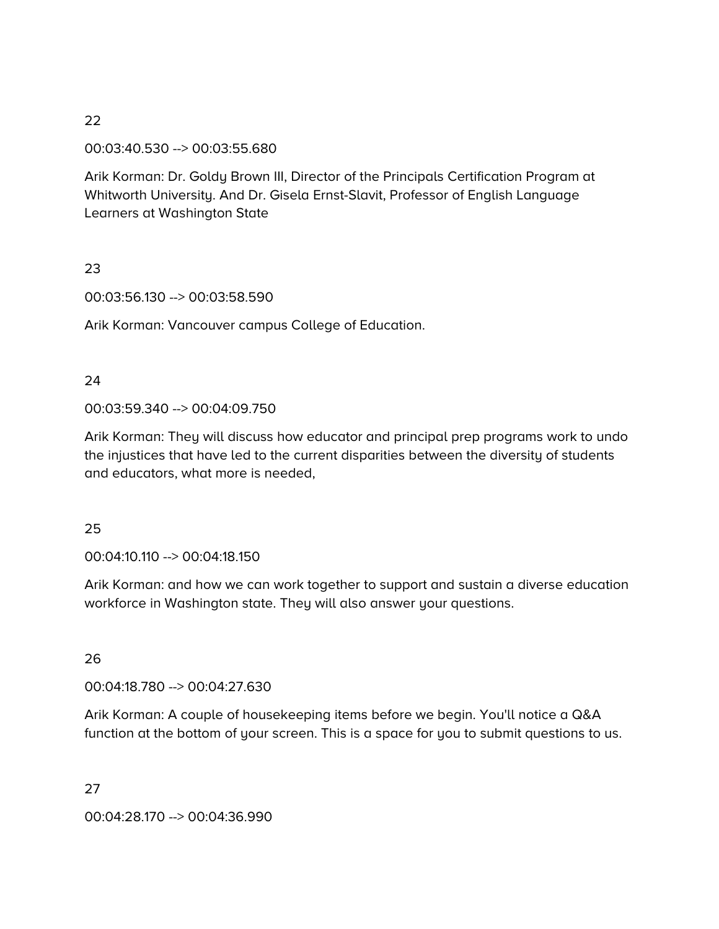#### 00:03:40.530 --> 00:03:55.680

Arik Korman: Dr. Goldy Brown III, Director of the Principals Certification Program at Whitworth University. And Dr. Gisela Ernst-Slavit, Professor of English Language Learners at Washington State

#### 23

00:03:56.130 --> 00:03:58.590

Arik Korman: Vancouver campus College of Education.

#### 24

00:03:59.340 --> 00:04:09.750

Arik Korman: They will discuss how educator and principal prep programs work to undo the injustices that have led to the current disparities between the diversity of students and educators, what more is needed,

#### 25

00:04:10.110 --> 00:04:18.150

Arik Korman: and how we can work together to support and sustain a diverse education workforce in Washington state. They will also answer your questions.

# 26

00:04:18.780 --> 00:04:27.630

Arik Korman: A couple of housekeeping items before we begin. You'll notice a Q&A function at the bottom of your screen. This is a space for you to submit questions to us.

#### 27

00:04:28.170 --> 00:04:36.990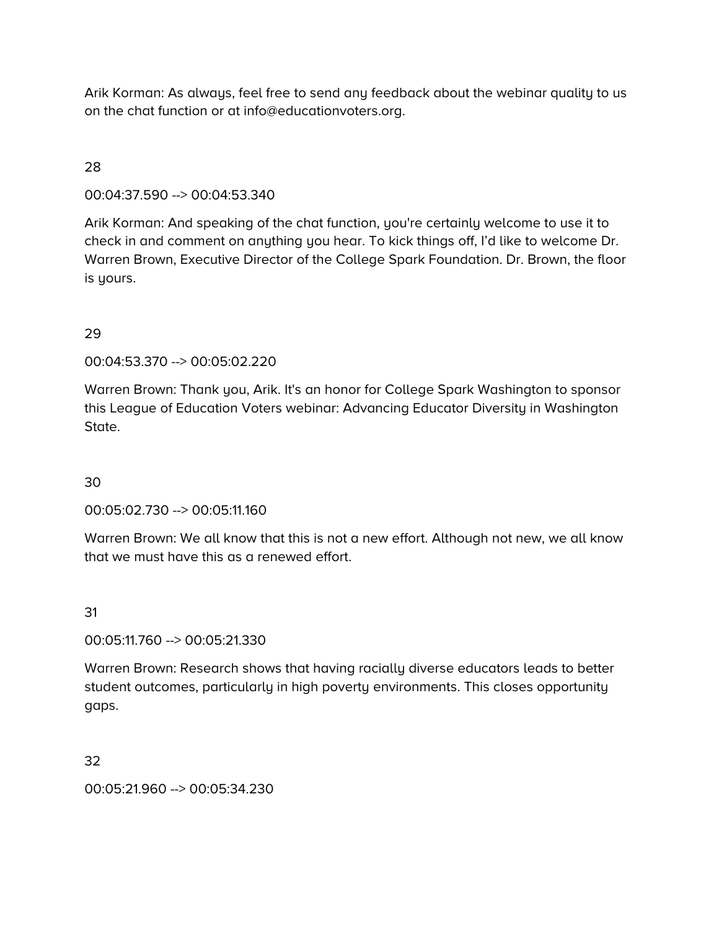Arik Korman: As always, feel free to send any feedback about the webinar quality to us on the chat function or at info@educationvoters.org.

# 28

00:04:37.590 --> 00:04:53.340

Arik Korman: And speaking of the chat function, you're certainly welcome to use it to check in and comment on anything you hear. To kick things off, I'd like to welcome Dr. Warren Brown, Executive Director of the College Spark Foundation. Dr. Brown, the floor is yours.

## 29

00:04:53.370 --> 00:05:02.220

Warren Brown: Thank you, Arik. It's an honor for College Spark Washington to sponsor this League of Education Voters webinar: Advancing Educator Diversity in Washington State.

30

00:05:02.730 --> 00:05:11.160

Warren Brown: We all know that this is not a new effort. Although not new, we all know that we must have this as a renewed effort.

31

00:05:11.760 --> 00:05:21.330

Warren Brown: Research shows that having racially diverse educators leads to better student outcomes, particularly in high poverty environments. This closes opportunity gaps.

32

00:05:21.960 --> 00:05:34.230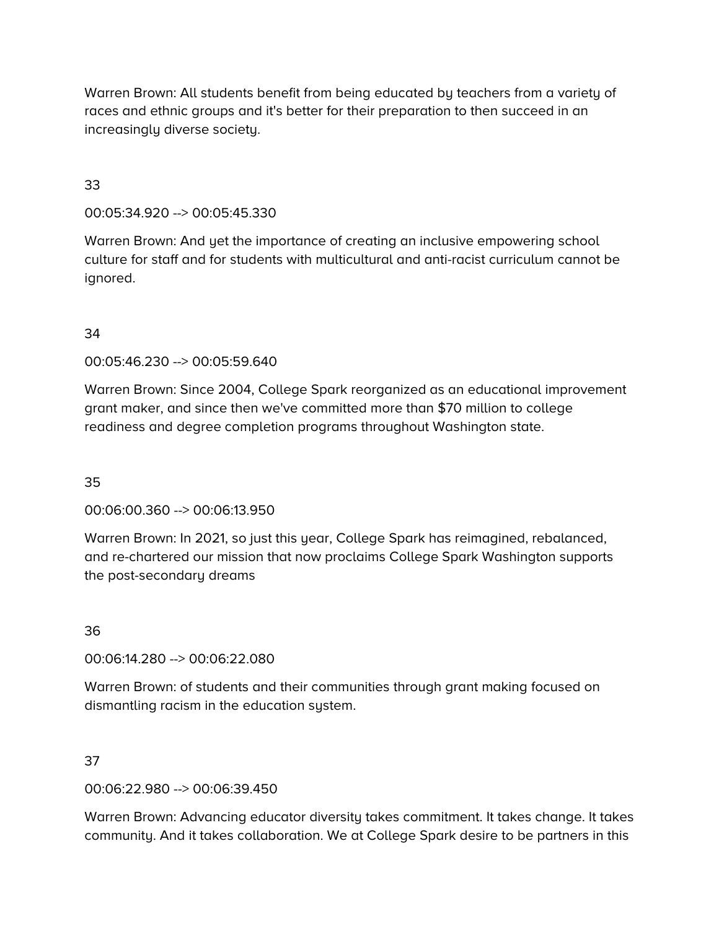Warren Brown: All students benefit from being educated by teachers from a variety of races and ethnic groups and it's better for their preparation to then succeed in an increasingly diverse society.

# 33

00:05:34.920 --> 00:05:45.330

Warren Brown: And yet the importance of creating an inclusive empowering school culture for staff and for students with multicultural and anti-racist curriculum cannot be ignored.

#### 34

00:05:46.230 --> 00:05:59.640

Warren Brown: Since 2004, College Spark reorganized as an educational improvement grant maker, and since then we've committed more than \$70 million to college readiness and degree completion programs throughout Washington state.

35

00:06:00.360 --> 00:06:13.950

Warren Brown: In 2021, so just this year, College Spark has reimagined, rebalanced, and re-chartered our mission that now proclaims College Spark Washington supports the post-secondary dreams

36

00:06:14.280 --> 00:06:22.080

Warren Brown: of students and their communities through grant making focused on dismantling racism in the education system.

#### 37

00:06:22.980 --> 00:06:39.450

Warren Brown: Advancing educator diversity takes commitment. It takes change. It takes community. And it takes collaboration. We at College Spark desire to be partners in this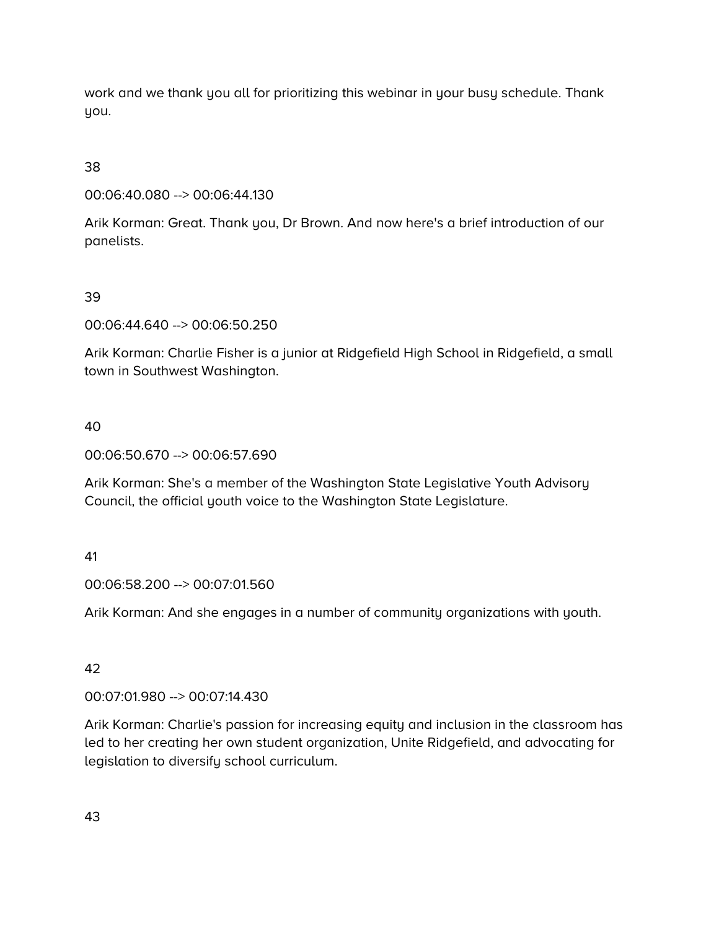work and we thank you all for prioritizing this webinar in your busy schedule. Thank you.

38

00:06:40.080 --> 00:06:44.130

Arik Korman: Great. Thank you, Dr Brown. And now here's a brief introduction of our panelists.

39

00:06:44.640 --> 00:06:50.250

Arik Korman: Charlie Fisher is a junior at Ridgefield High School in Ridgefield, a small town in Southwest Washington.

40

00:06:50.670 --> 00:06:57.690

Arik Korman: She's a member of the Washington State Legislative Youth Advisory Council, the official youth voice to the Washington State Legislature.

41

00:06:58.200 --> 00:07:01.560

Arik Korman: And she engages in a number of community organizations with youth.

42

00:07:01.980 --> 00:07:14.430

Arik Korman: Charlie's passion for increasing equity and inclusion in the classroom has led to her creating her own student organization, Unite Ridgefield, and advocating for legislation to diversify school curriculum.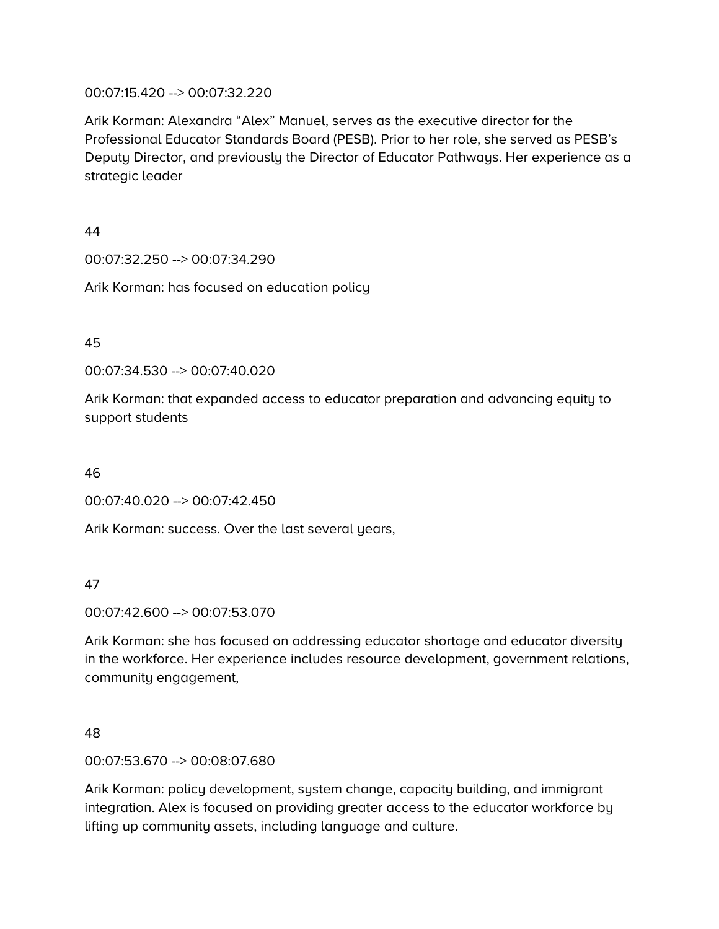#### 00:07:15.420 --> 00:07:32.220

Arik Korman: Alexandra "Alex" Manuel, serves as the executive director for the Professional Educator Standards Board (PESB). Prior to her role, she served as PESB's Deputy Director, and previously the Director of Educator Pathways. Her experience as a strategic leader

44

00:07:32.250 --> 00:07:34.290

Arik Korman: has focused on education policy

45

00:07:34.530 --> 00:07:40.020

Arik Korman: that expanded access to educator preparation and advancing equity to support students

46

00:07:40.020 --> 00:07:42.450

Arik Korman: success. Over the last several years,

47

00:07:42.600 --> 00:07:53.070

Arik Korman: she has focused on addressing educator shortage and educator diversity in the workforce. Her experience includes resource development, government relations, community engagement,

# 48

00:07:53.670 --> 00:08:07.680

Arik Korman: policy development, system change, capacity building, and immigrant integration. Alex is focused on providing greater access to the educator workforce by lifting up community assets, including language and culture.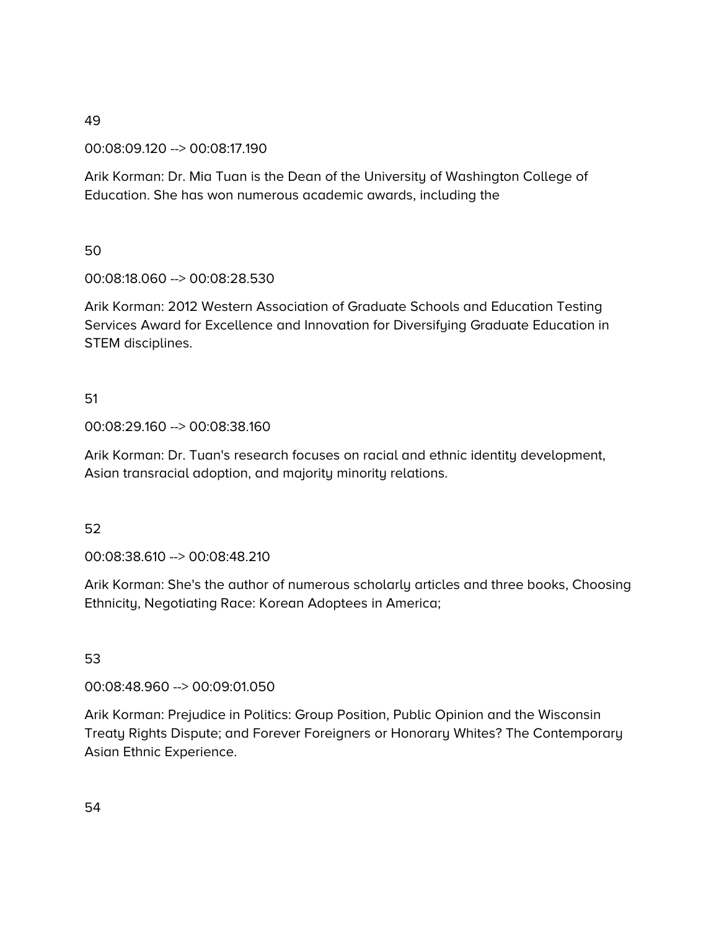00:08:09.120 --> 00:08:17.190

Arik Korman: Dr. Mia Tuan is the Dean of the University of Washington College of Education. She has won numerous academic awards, including the

50

00:08:18.060 --> 00:08:28.530

Arik Korman: 2012 Western Association of Graduate Schools and Education Testing Services Award for Excellence and Innovation for Diversifying Graduate Education in STEM disciplines.

# 51

00:08:29.160 --> 00:08:38.160

Arik Korman: Dr. Tuan's research focuses on racial and ethnic identity development, Asian transracial adoption, and majority minority relations.

# 52

00:08:38.610 --> 00:08:48.210

Arik Korman: She's the author of numerous scholarly articles and three books, Choosing Ethnicity, Negotiating Race: Korean Adoptees in America;

#### 53

00:08:48.960 --> 00:09:01.050

Arik Korman: Prejudice in Politics: Group Position, Public Opinion and the Wisconsin Treaty Rights Dispute; and Forever Foreigners or Honorary Whites? The Contemporary Asian Ethnic Experience.

54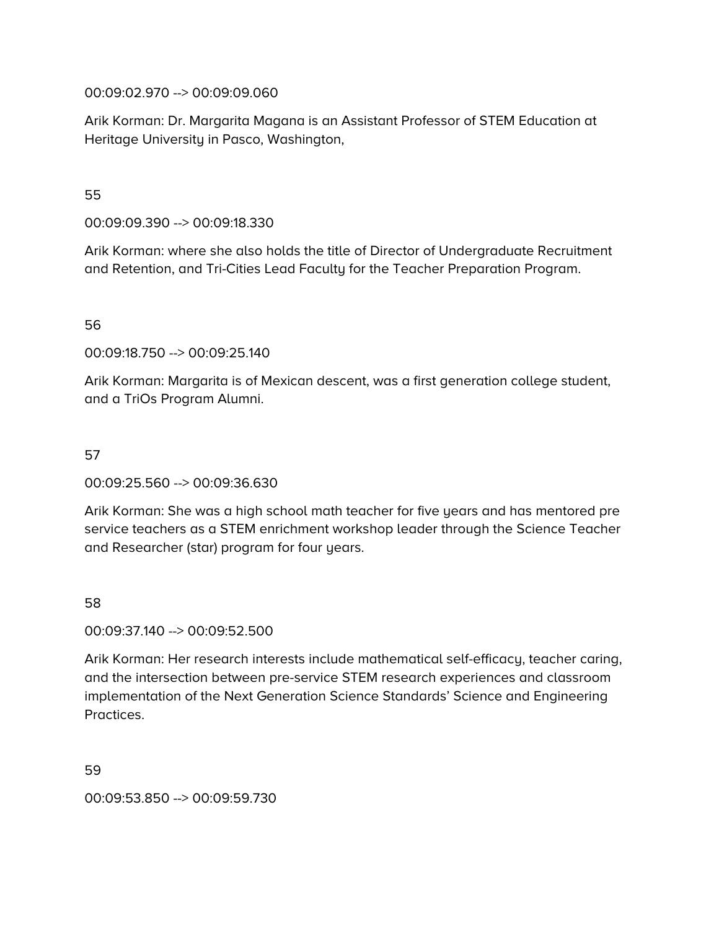00:09:02.970 --> 00:09:09.060

Arik Korman: Dr. Margarita Magana is an Assistant Professor of STEM Education at Heritage University in Pasco, Washington,

55

00:09:09.390 --> 00:09:18.330

Arik Korman: where she also holds the title of Director of Undergraduate Recruitment and Retention, and Tri-Cities Lead Faculty for the Teacher Preparation Program.

56

00:09:18.750 --> 00:09:25.140

Arik Korman: Margarita is of Mexican descent, was a first generation college student, and a TriOs Program Alumni.

#### 57

00:09:25.560 --> 00:09:36.630

Arik Korman: She was a high school math teacher for five years and has mentored pre service teachers as a STEM enrichment workshop leader through the Science Teacher and Researcher (star) program for four years.

#### 58

00:09:37.140 --> 00:09:52.500

Arik Korman: Her research interests include mathematical self-efficacy, teacher caring, and the intersection between pre-service STEM research experiences and classroom implementation of the Next Generation Science Standards' Science and Engineering Practices.

59

00:09:53.850 --> 00:09:59.730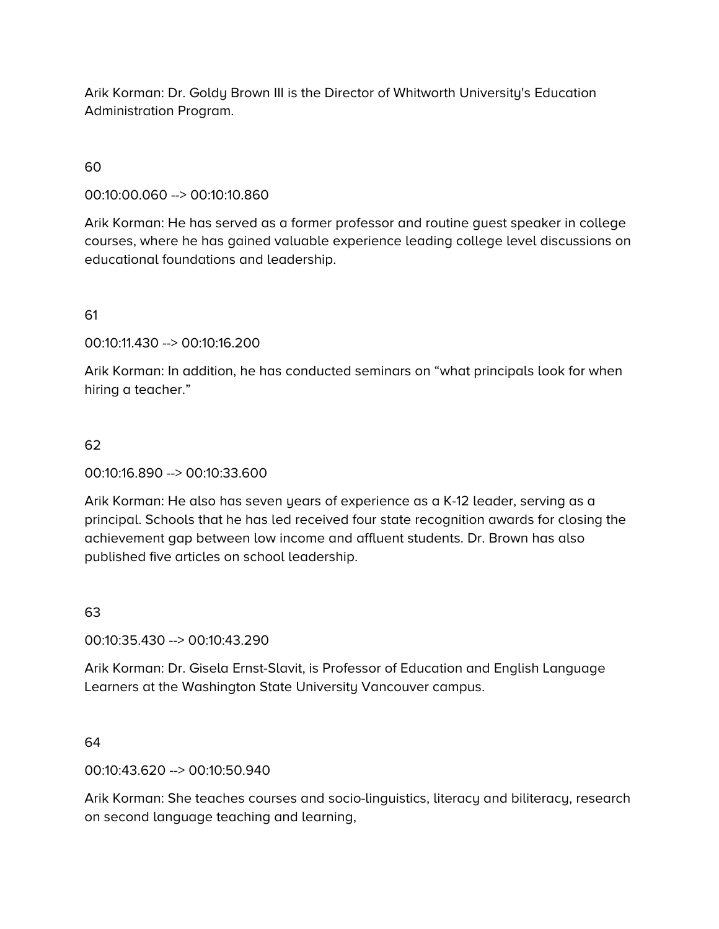Arik Korman: Dr. Goldy Brown III is the Director of Whitworth University's Education Administration Program.

## 60

00:10:00.060 --> 00:10:10.860

Arik Korman: He has served as a former professor and routine guest speaker in college courses, where he has gained valuable experience leading college level discussions on educational foundations and leadership.

61

00:10:11.430 --> 00:10:16.200

Arik Korman: In addition, he has conducted seminars on "what principals look for when hiring a teacher."

#### 62

00:10:16.890 --> 00:10:33.600

Arik Korman: He also has seven years of experience as a K-12 leader, serving as a principal. Schools that he has led received four state recognition awards for closing the achievement gap between low income and affluent students. Dr. Brown has also published five articles on school leadership.

# 63

00:10:35.430 --> 00:10:43.290

Arik Korman: Dr. Gisela Ernst-Slavit, is Professor of Education and English Language Learners at the Washington State University Vancouver campus.

#### 64

00:10:43.620 --> 00:10:50.940

Arik Korman: She teaches courses and socio-linguistics, literacy and biliteracy, research on second language teaching and learning,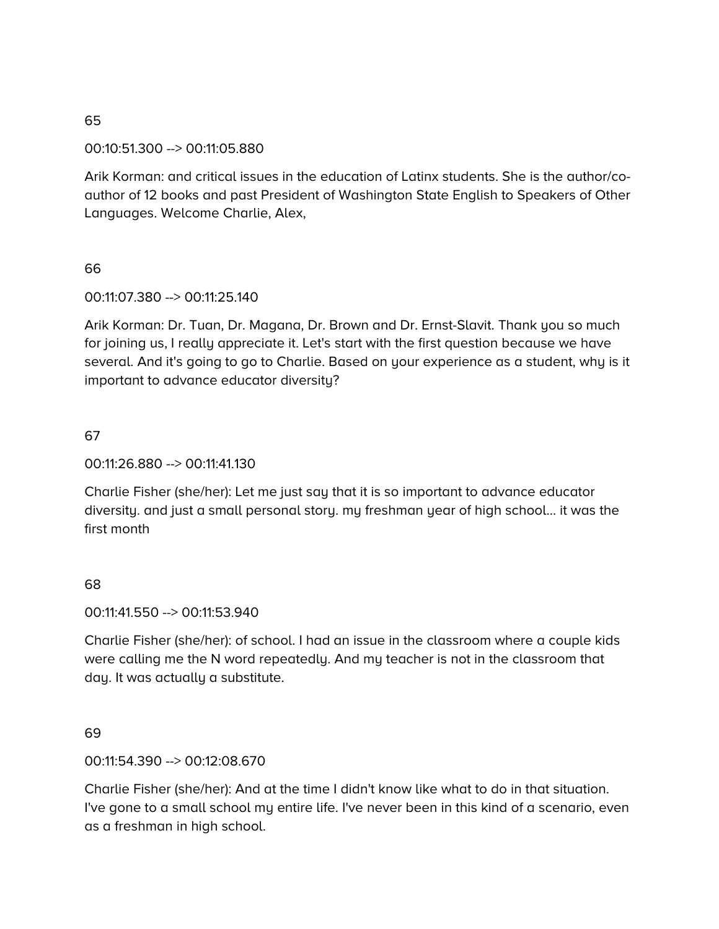# 00:10:51.300 --> 00:11:05.880

Arik Korman: and critical issues in the education of Latinx students. She is the author/coauthor of 12 books and past President of Washington State English to Speakers of Other Languages. Welcome Charlie, Alex,

# 66

00:11:07.380 --> 00:11:25.140

Arik Korman: Dr. Tuan, Dr. Magana, Dr. Brown and Dr. Ernst-Slavit. Thank you so much for joining us, I really appreciate it. Let's start with the first question because we have several. And it's going to go to Charlie. Based on your experience as a student, why is it important to advance educator diversity?

# 67

## 00:11:26.880 --> 00:11:41.130

Charlie Fisher (she/her): Let me just say that it is so important to advance educator diversity. and just a small personal story. my freshman year of high school… it was the first month

# 68

#### 00:11:41.550 --> 00:11:53.940

Charlie Fisher (she/her): of school. I had an issue in the classroom where a couple kids were calling me the N word repeatedly. And my teacher is not in the classroom that day. It was actually a substitute.

#### 69

#### 00:11:54.390 --> 00:12:08.670

Charlie Fisher (she/her): And at the time I didn't know like what to do in that situation. I've gone to a small school my entire life. I've never been in this kind of a scenario, even as a freshman in high school.

65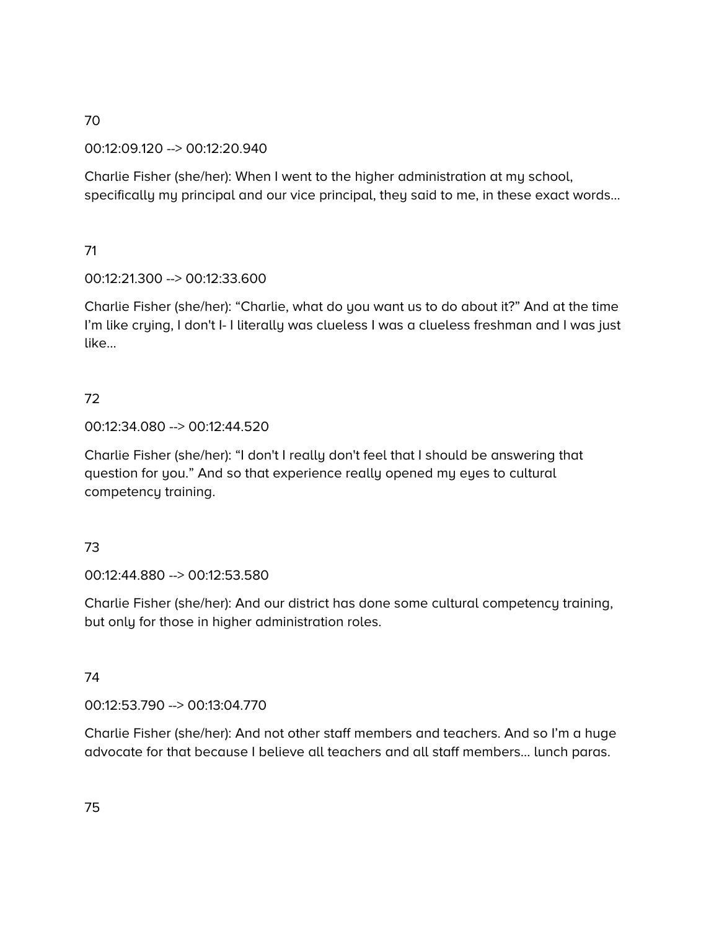00:12:09.120 --> 00:12:20.940

Charlie Fisher (she/her): When I went to the higher administration at my school, specifically my principal and our vice principal, they said to me, in these exact words…

# 71

# 00:12:21.300 --> 00:12:33.600

Charlie Fisher (she/her): "Charlie, what do you want us to do about it?" And at the time I'm like crying, I don't I- I literally was clueless I was a clueless freshman and I was just like…

# 72

## 00:12:34.080 --> 00:12:44.520

Charlie Fisher (she/her): "I don't I really don't feel that I should be answering that question for you." And so that experience really opened my eyes to cultural competency training.

# 73

00:12:44.880 --> 00:12:53.580

Charlie Fisher (she/her): And our district has done some cultural competency training, but only for those in higher administration roles.

# 74

00:12:53.790 --> 00:13:04.770

Charlie Fisher (she/her): And not other staff members and teachers. And so I'm a huge advocate for that because I believe all teachers and all staff members… lunch paras.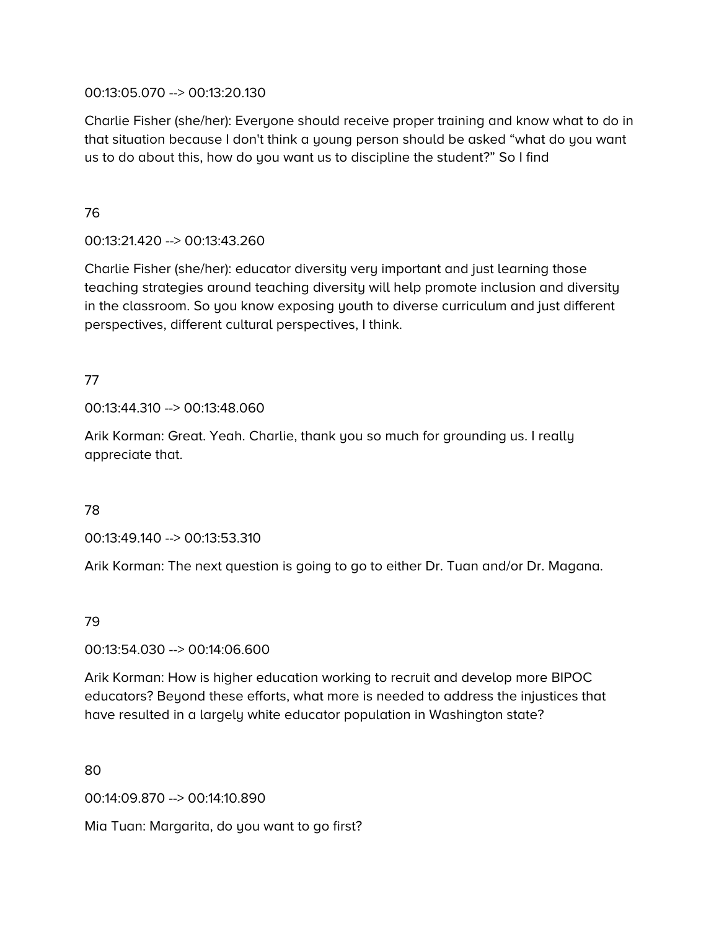## 00:13:05.070 --> 00:13:20.130

Charlie Fisher (she/her): Everyone should receive proper training and know what to do in that situation because I don't think a young person should be asked "what do you want us to do about this, how do you want us to discipline the student?" So I find

## 76

# 00:13:21.420 --> 00:13:43.260

Charlie Fisher (she/her): educator diversity very important and just learning those teaching strategies around teaching diversity will help promote inclusion and diversity in the classroom. So you know exposing youth to diverse curriculum and just different perspectives, different cultural perspectives, I think.

# 77

00:13:44.310 --> 00:13:48.060

Arik Korman: Great. Yeah. Charlie, thank you so much for grounding us. I really appreciate that.

# 78

00:13:49.140 --> 00:13:53.310

Arik Korman: The next question is going to go to either Dr. Tuan and/or Dr. Magana.

# 79

#### 00:13:54.030 --> 00:14:06.600

Arik Korman: How is higher education working to recruit and develop more BIPOC educators? Beyond these efforts, what more is needed to address the injustices that have resulted in a largely white educator population in Washington state?

80

00:14:09.870 --> 00:14:10.890

Mia Tuan: Margarita, do you want to go first?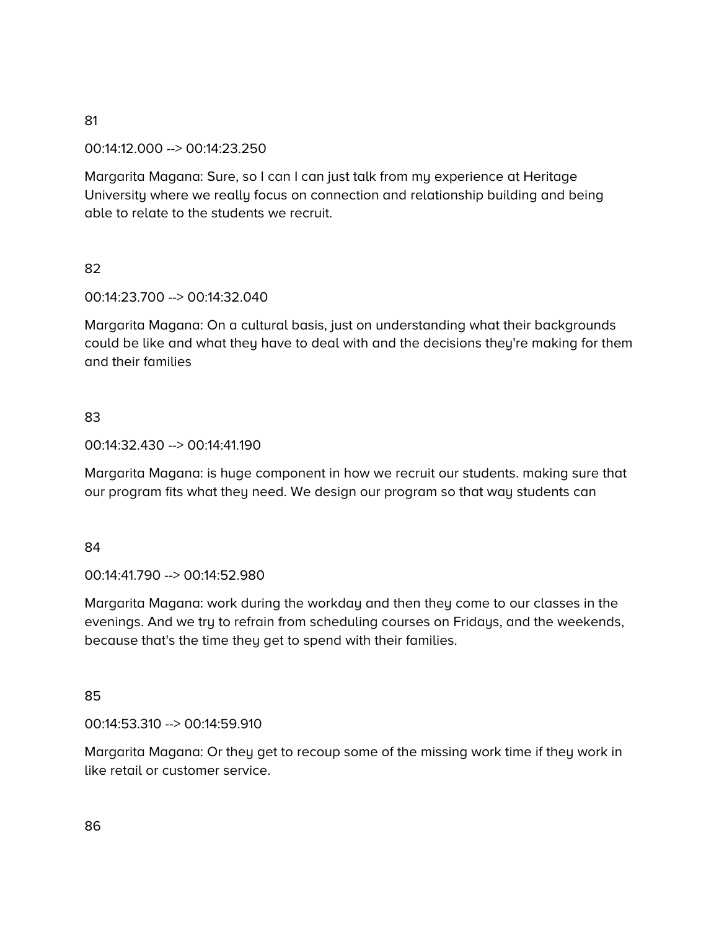#### 00:14:12.000 --> 00:14:23.250

Margarita Magana: Sure, so I can I can just talk from my experience at Heritage University where we really focus on connection and relationship building and being able to relate to the students we recruit.

#### 82

00:14:23.700 --> 00:14:32.040

Margarita Magana: On a cultural basis, just on understanding what their backgrounds could be like and what they have to deal with and the decisions they're making for them and their families

#### 83

00:14:32.430 --> 00:14:41.190

Margarita Magana: is huge component in how we recruit our students. making sure that our program fits what they need. We design our program so that way students can

#### 84

00:14:41.790 --> 00:14:52.980

Margarita Magana: work during the workday and then they come to our classes in the evenings. And we try to refrain from scheduling courses on Fridays, and the weekends, because that's the time they get to spend with their families.

#### 85

00:14:53.310 --> 00:14:59.910

Margarita Magana: Or they get to recoup some of the missing work time if they work in like retail or customer service.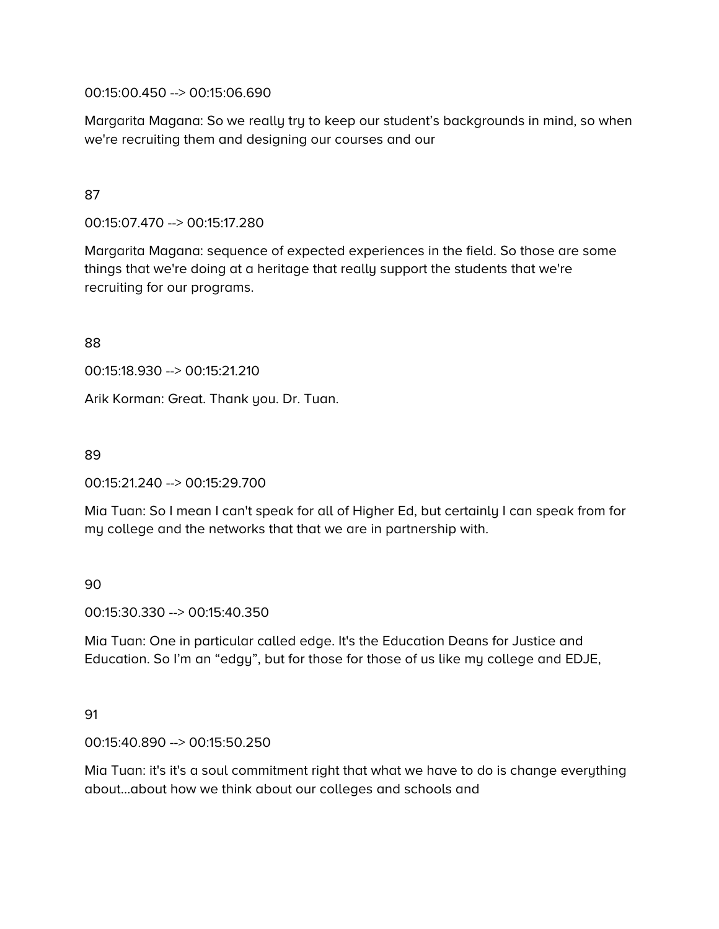00:15:00.450 --> 00:15:06.690

Margarita Magana: So we really try to keep our student's backgrounds in mind, so when we're recruiting them and designing our courses and our

# 87

00:15:07.470 --> 00:15:17.280

Margarita Magana: sequence of expected experiences in the field. So those are some things that we're doing at a heritage that really support the students that we're recruiting for our programs.

88

00:15:18.930 --> 00:15:21.210

Arik Korman: Great. Thank you. Dr. Tuan.

89

00:15:21.240 --> 00:15:29.700

Mia Tuan: So I mean I can't speak for all of Higher Ed, but certainly I can speak from for my college and the networks that that we are in partnership with.

90

00:15:30.330 --> 00:15:40.350

Mia Tuan: One in particular called edge. It's the Education Deans for Justice and Education. So I'm an "edgy", but for those for those of us like my college and EDJE,

#### 91

00:15:40.890 --> 00:15:50.250

Mia Tuan: it's it's a soul commitment right that what we have to do is change everything about…about how we think about our colleges and schools and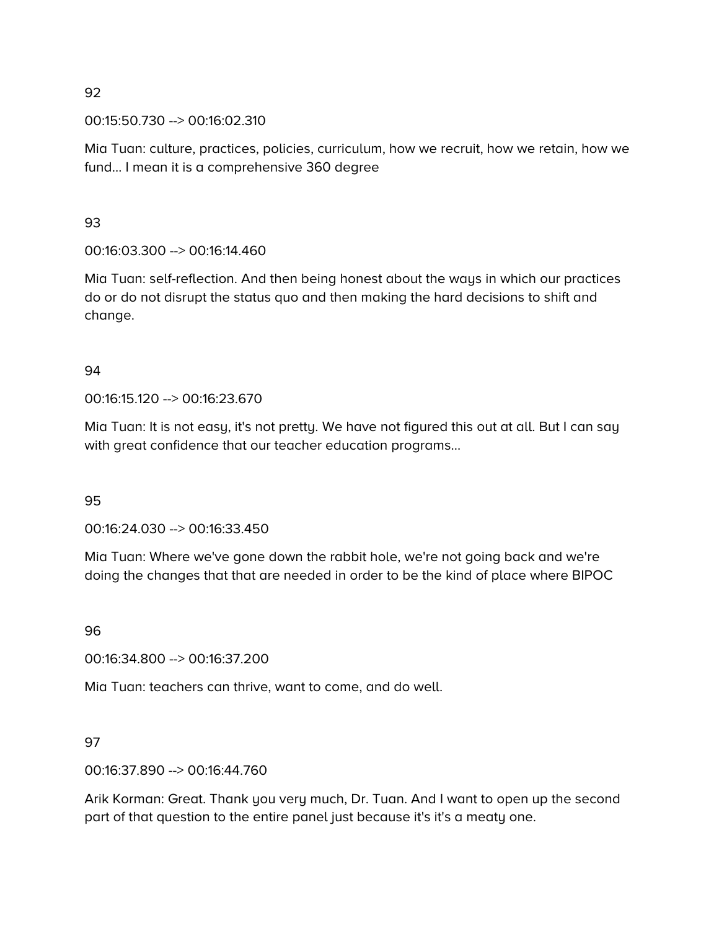00:15:50.730 --> 00:16:02.310

Mia Tuan: culture, practices, policies, curriculum, how we recruit, how we retain, how we fund… I mean it is a comprehensive 360 degree

93

00:16:03.300 --> 00:16:14.460

Mia Tuan: self-reflection. And then being honest about the ways in which our practices do or do not disrupt the status quo and then making the hard decisions to shift and change.

#### 94

00:16:15.120 --> 00:16:23.670

Mia Tuan: It is not easy, it's not pretty. We have not figured this out at all. But I can say with great confidence that our teacher education programs…

95

00:16:24.030 --> 00:16:33.450

Mia Tuan: Where we've gone down the rabbit hole, we're not going back and we're doing the changes that that are needed in order to be the kind of place where BIPOC

96

00:16:34.800 --> 00:16:37.200

Mia Tuan: teachers can thrive, want to come, and do well.

97

00:16:37.890 --> 00:16:44.760

Arik Korman: Great. Thank you very much, Dr. Tuan. And I want to open up the second part of that question to the entire panel just because it's it's a meaty one.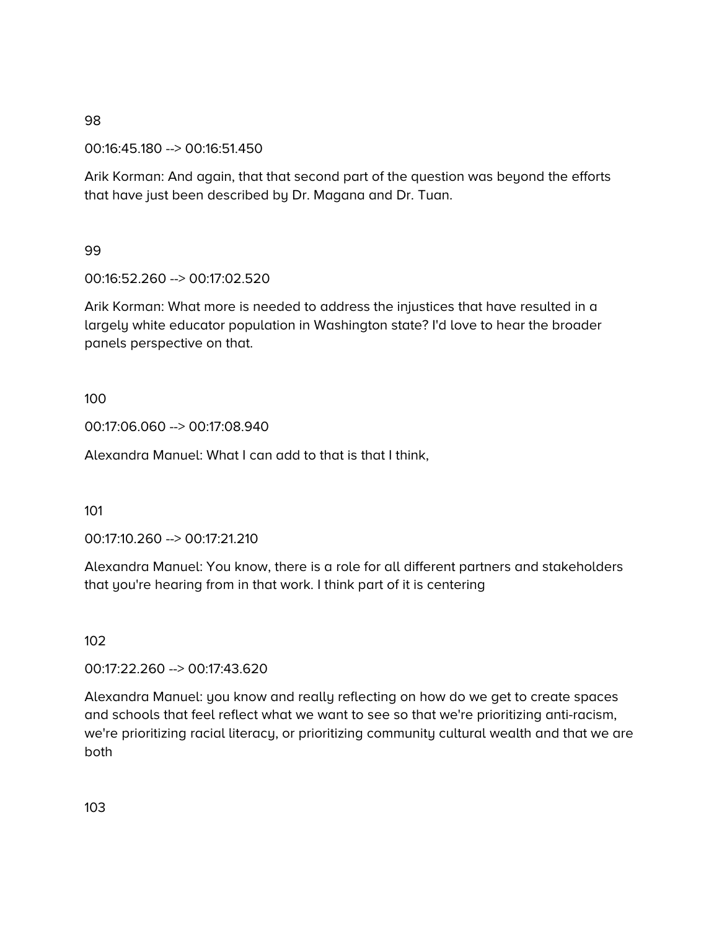00:16:45.180 --> 00:16:51.450

Arik Korman: And again, that that second part of the question was beyond the efforts that have just been described by Dr. Magana and Dr. Tuan.

99

00:16:52.260 --> 00:17:02.520

Arik Korman: What more is needed to address the injustices that have resulted in a largely white educator population in Washington state? I'd love to hear the broader panels perspective on that.

100

00:17:06.060 --> 00:17:08.940

Alexandra Manuel: What I can add to that is that I think,

101

00:17:10.260 --> 00:17:21.210

Alexandra Manuel: You know, there is a role for all different partners and stakeholders that you're hearing from in that work. I think part of it is centering

102

00:17:22.260 --> 00:17:43.620

Alexandra Manuel: you know and really reflecting on how do we get to create spaces and schools that feel reflect what we want to see so that we're prioritizing anti-racism, we're prioritizing racial literacy, or prioritizing community cultural wealth and that we are both

103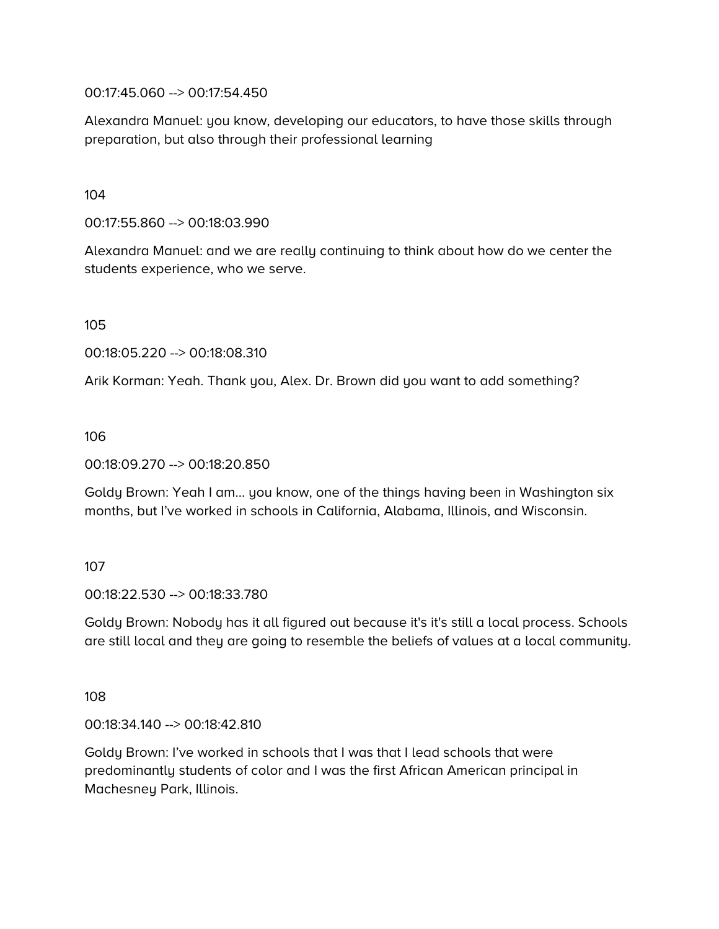00:17:45.060 --> 00:17:54.450

Alexandra Manuel: you know, developing our educators, to have those skills through preparation, but also through their professional learning

104

00:17:55.860 --> 00:18:03.990

Alexandra Manuel: and we are really continuing to think about how do we center the students experience, who we serve.

105

00:18:05.220 --> 00:18:08.310

Arik Korman: Yeah. Thank you, Alex. Dr. Brown did you want to add something?

106

00:18:09.270 --> 00:18:20.850

Goldy Brown: Yeah I am… you know, one of the things having been in Washington six months, but I've worked in schools in California, Alabama, Illinois, and Wisconsin.

107

00:18:22.530 --> 00:18:33.780

Goldy Brown: Nobody has it all figured out because it's it's still a local process. Schools are still local and they are going to resemble the beliefs of values at a local community.

108

00:18:34.140 --> 00:18:42.810

Goldy Brown: I've worked in schools that I was that I lead schools that were predominantly students of color and I was the first African American principal in Machesney Park, Illinois.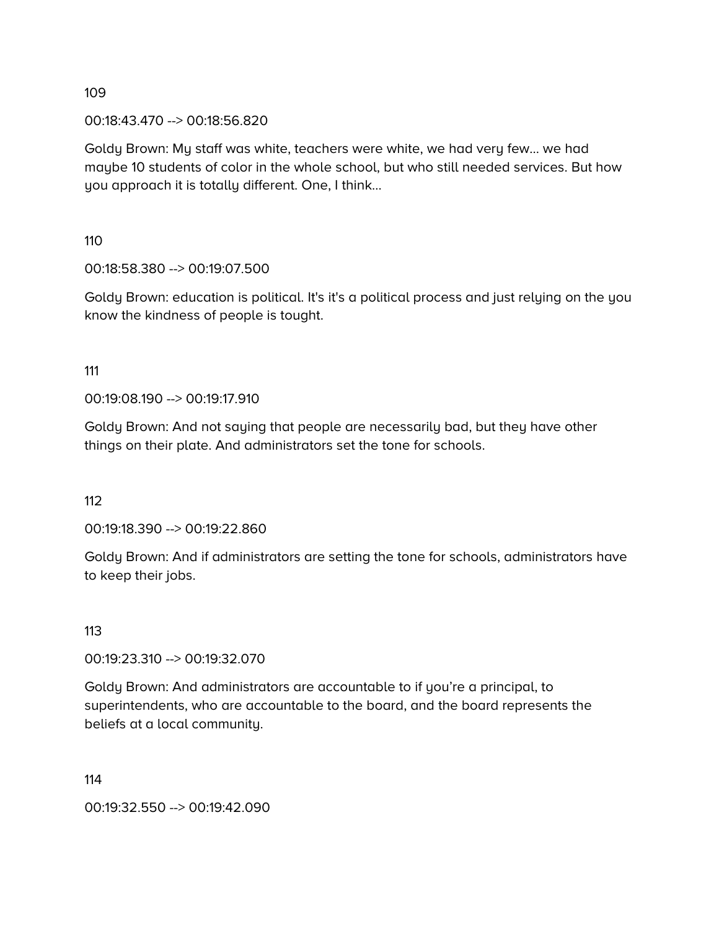00:18:43.470 --> 00:18:56.820

Goldy Brown: My staff was white, teachers were white, we had very few… we had maybe 10 students of color in the whole school, but who still needed services. But how you approach it is totally different. One, I think…

110

00:18:58.380 --> 00:19:07.500

Goldy Brown: education is political. It's it's a political process and just relying on the you know the kindness of people is tought.

111

00:19:08.190 --> 00:19:17.910

Goldy Brown: And not saying that people are necessarily bad, but they have other things on their plate. And administrators set the tone for schools.

112

00:19:18.390 --> 00:19:22.860

Goldy Brown: And if administrators are setting the tone for schools, administrators have to keep their jobs.

113

00:19:23.310 --> 00:19:32.070

Goldy Brown: And administrators are accountable to if you're a principal, to superintendents, who are accountable to the board, and the board represents the beliefs at a local community.

114

00:19:32.550 --> 00:19:42.090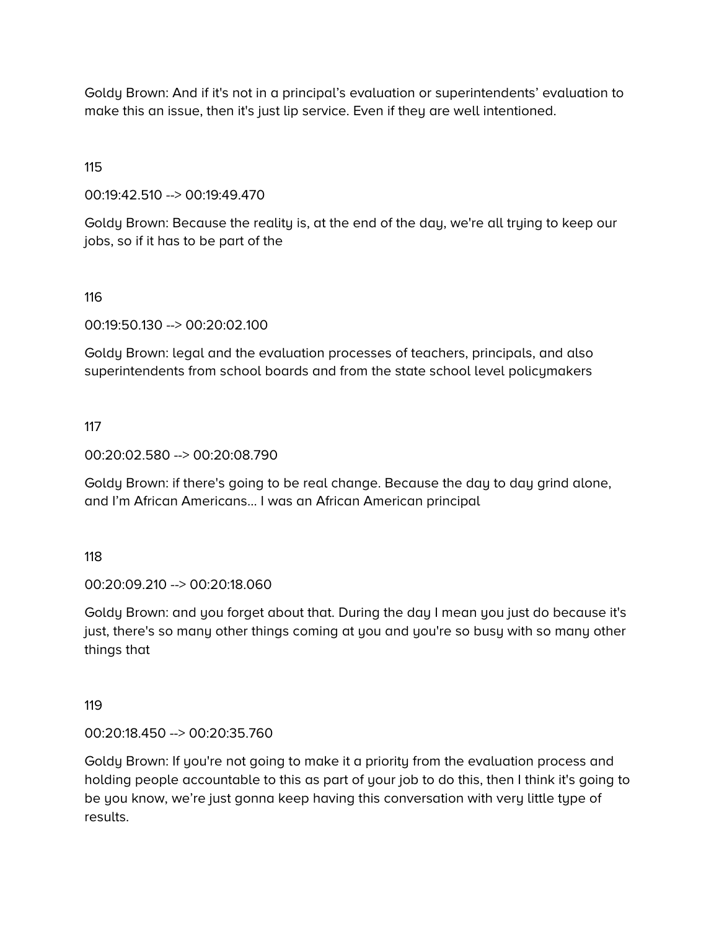Goldy Brown: And if it's not in a principal's evaluation or superintendents' evaluation to make this an issue, then it's just lip service. Even if they are well intentioned.

115

00:19:42.510 --> 00:19:49.470

Goldy Brown: Because the reality is, at the end of the day, we're all trying to keep our jobs, so if it has to be part of the

116

00:19:50.130 --> 00:20:02.100

Goldy Brown: legal and the evaluation processes of teachers, principals, and also superintendents from school boards and from the state school level policymakers

117

00:20:02.580 --> 00:20:08.790

Goldy Brown: if there's going to be real change. Because the day to day grind alone, and I'm African Americans… I was an African American principal

118

00:20:09.210 --> 00:20:18.060

Goldy Brown: and you forget about that. During the day I mean you just do because it's just, there's so many other things coming at you and you're so busy with so many other things that

119

00:20:18.450 --> 00:20:35.760

Goldy Brown: If you're not going to make it a priority from the evaluation process and holding people accountable to this as part of your job to do this, then I think it's going to be you know, we're just gonna keep having this conversation with very little type of results.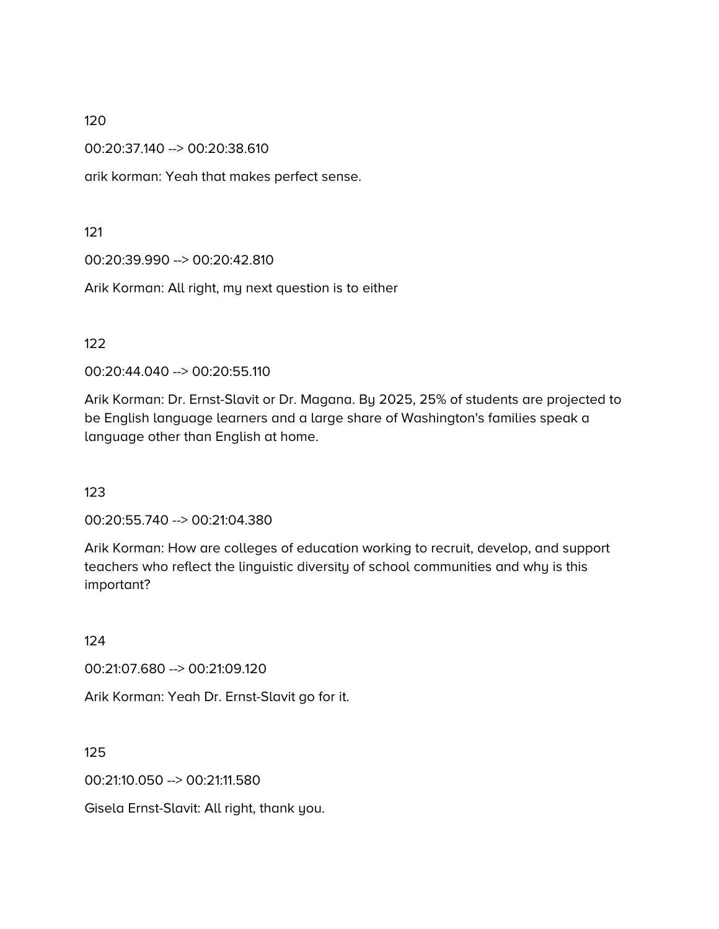00:20:37.140 --> 00:20:38.610

arik korman: Yeah that makes perfect sense.

121

00:20:39.990 --> 00:20:42.810

Arik Korman: All right, my next question is to either

122

00:20:44.040 --> 00:20:55.110

Arik Korman: Dr. Ernst-Slavit or Dr. Magana. By 2025, 25% of students are projected to be English language learners and a large share of Washington's families speak a language other than English at home.

123

00:20:55.740 --> 00:21:04.380

Arik Korman: How are colleges of education working to recruit, develop, and support teachers who reflect the linguistic diversity of school communities and why is this important?

124

00:21:07.680 --> 00:21:09.120

Arik Korman: Yeah Dr. Ernst-Slavit go for it.

125

00:21:10.050 --> 00:21:11.580

Gisela Ernst-Slavit: All right, thank you.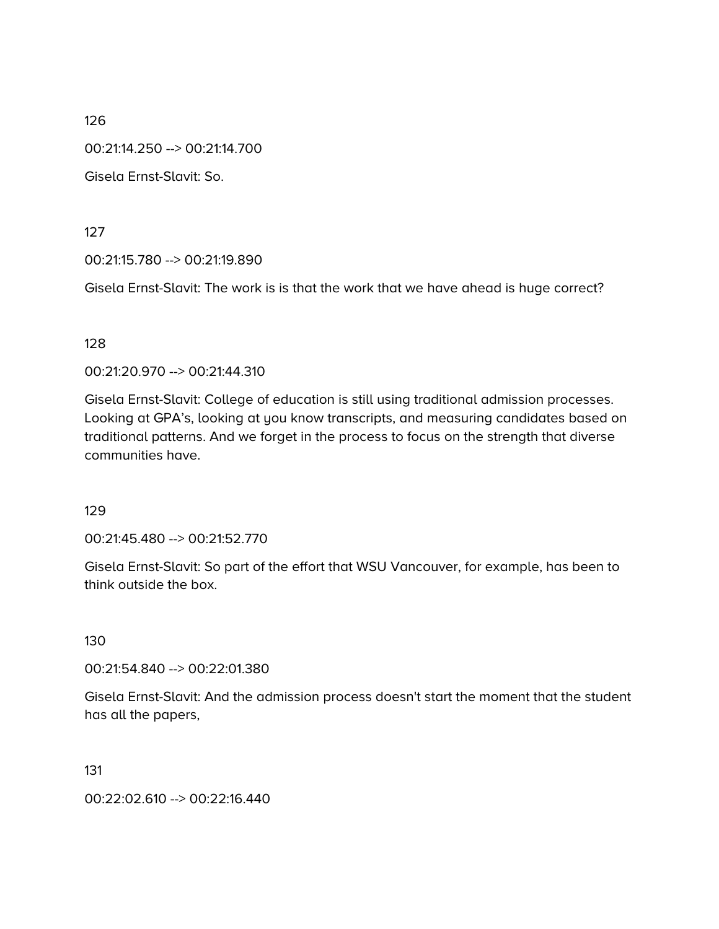00:21:14.250 --> 00:21:14.700

Gisela Ernst-Slavit: So.

127

00:21:15.780 --> 00:21:19.890

Gisela Ernst-Slavit: The work is is that the work that we have ahead is huge correct?

128

00:21:20.970 --> 00:21:44.310

Gisela Ernst-Slavit: College of education is still using traditional admission processes. Looking at GPA's, looking at you know transcripts, and measuring candidates based on traditional patterns. And we forget in the process to focus on the strength that diverse communities have.

129

00:21:45.480 --> 00:21:52.770

Gisela Ernst-Slavit: So part of the effort that WSU Vancouver, for example, has been to think outside the box.

130

00:21:54.840 --> 00:22:01.380

Gisela Ernst-Slavit: And the admission process doesn't start the moment that the student has all the papers,

131

00:22:02.610 --> 00:22:16.440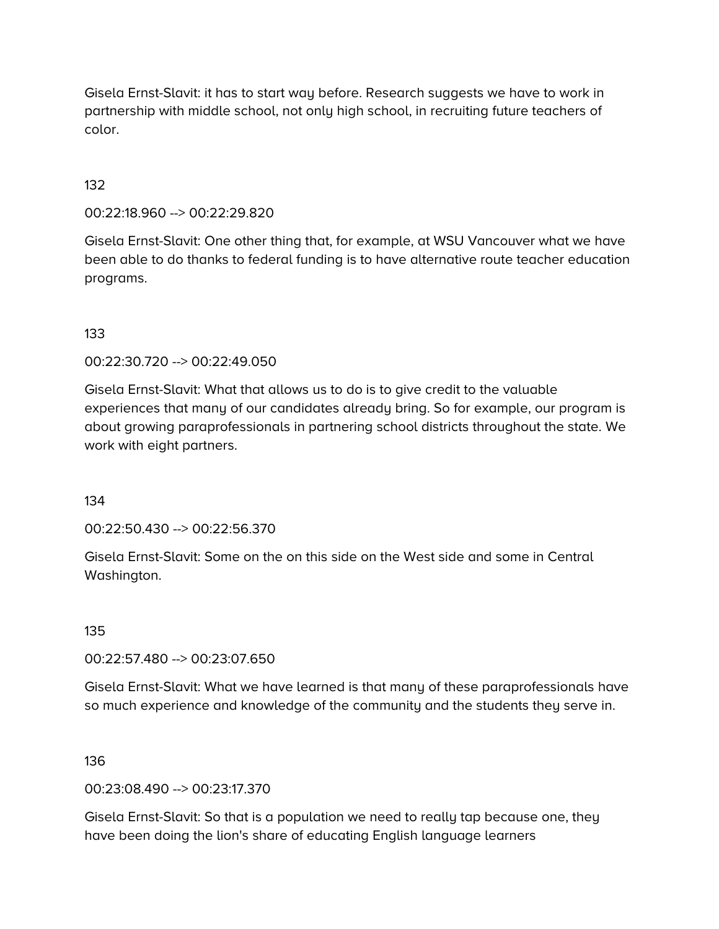Gisela Ernst-Slavit: it has to start way before. Research suggests we have to work in partnership with middle school, not only high school, in recruiting future teachers of color.

## 132

00:22:18.960 --> 00:22:29.820

Gisela Ernst-Slavit: One other thing that, for example, at WSU Vancouver what we have been able to do thanks to federal funding is to have alternative route teacher education programs.

#### 133

00:22:30.720 --> 00:22:49.050

Gisela Ernst-Slavit: What that allows us to do is to give credit to the valuable experiences that many of our candidates already bring. So for example, our program is about growing paraprofessionals in partnering school districts throughout the state. We work with eight partners.

134

00:22:50.430 --> 00:22:56.370

Gisela Ernst-Slavit: Some on the on this side on the West side and some in Central Washington.

135

00:22:57.480 --> 00:23:07.650

Gisela Ernst-Slavit: What we have learned is that many of these paraprofessionals have so much experience and knowledge of the community and the students they serve in.

136

00:23:08.490 --> 00:23:17.370

Gisela Ernst-Slavit: So that is a population we need to really tap because one, they have been doing the lion's share of educating English language learners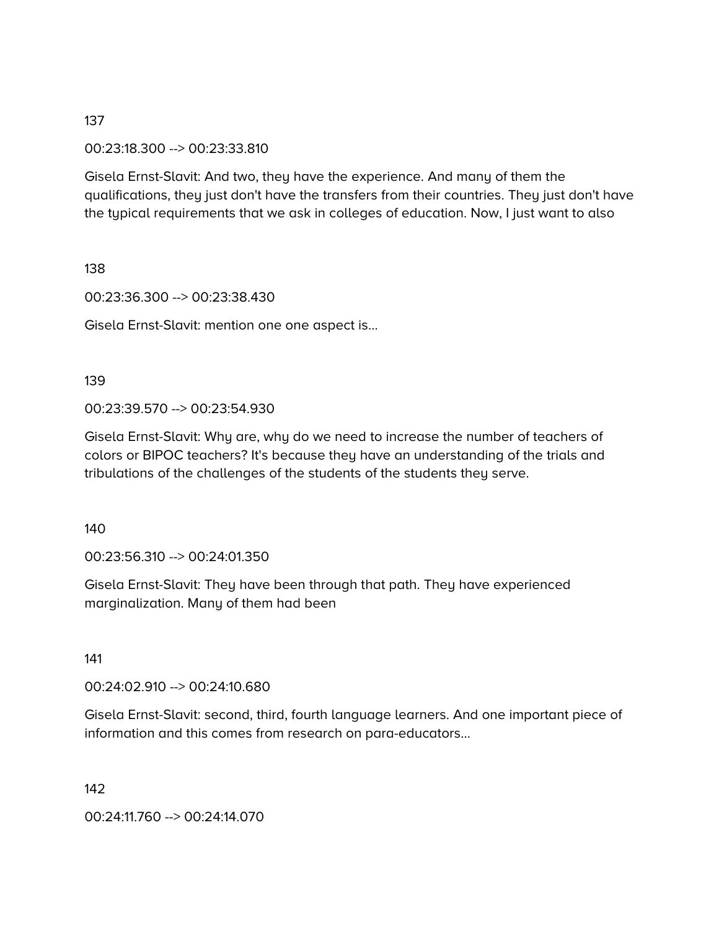00:23:18.300 --> 00:23:33.810

Gisela Ernst-Slavit: And two, they have the experience. And many of them the qualifications, they just don't have the transfers from their countries. They just don't have the typical requirements that we ask in colleges of education. Now, I just want to also

138

00:23:36.300 --> 00:23:38.430

Gisela Ernst-Slavit: mention one one aspect is…

#### 139

00:23:39.570 --> 00:23:54.930

Gisela Ernst-Slavit: Why are, why do we need to increase the number of teachers of colors or BIPOC teachers? It's because they have an understanding of the trials and tribulations of the challenges of the students of the students they serve.

140

00:23:56.310 --> 00:24:01.350

Gisela Ernst-Slavit: They have been through that path. They have experienced marginalization. Many of them had been

141

00:24:02.910 --> 00:24:10.680

Gisela Ernst-Slavit: second, third, fourth language learners. And one important piece of information and this comes from research on para-educators…

142

00:24:11.760 --> 00:24:14.070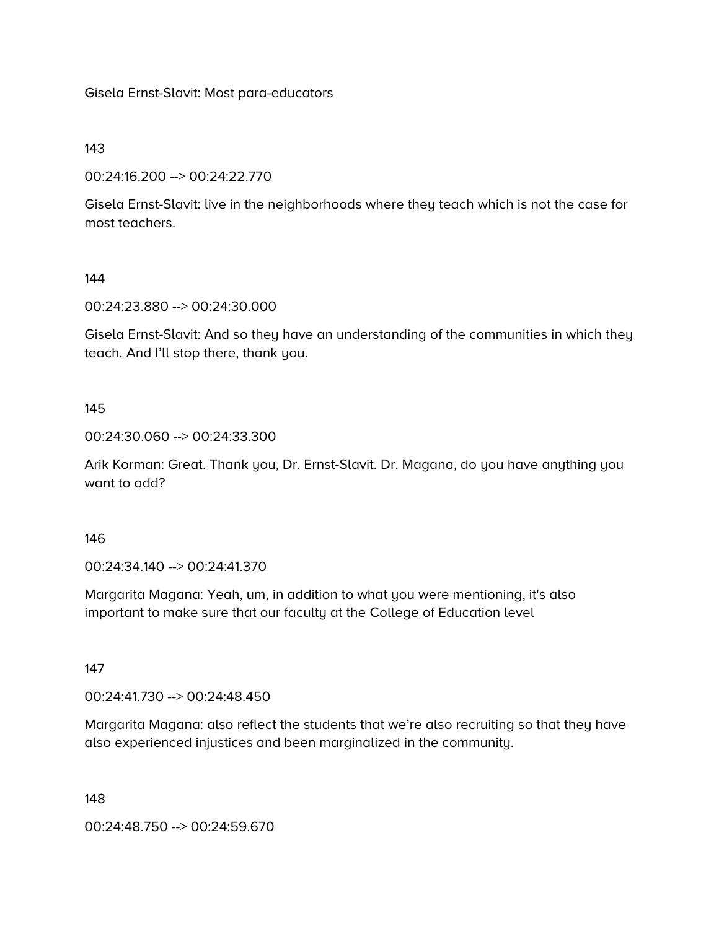Gisela Ernst-Slavit: Most para-educators

143

00:24:16.200 --> 00:24:22.770

Gisela Ernst-Slavit: live in the neighborhoods where they teach which is not the case for most teachers.

144

00:24:23.880 --> 00:24:30.000

Gisela Ernst-Slavit: And so they have an understanding of the communities in which they teach. And I'll stop there, thank you.

145

00:24:30.060 --> 00:24:33.300

Arik Korman: Great. Thank you, Dr. Ernst-Slavit. Dr. Magana, do you have anything you want to add?

146

00:24:34.140 --> 00:24:41.370

Margarita Magana: Yeah, um, in addition to what you were mentioning, it's also important to make sure that our faculty at the College of Education level

147

00:24:41.730 --> 00:24:48.450

Margarita Magana: also reflect the students that we're also recruiting so that they have also experienced injustices and been marginalized in the community.

148

00:24:48.750 --> 00:24:59.670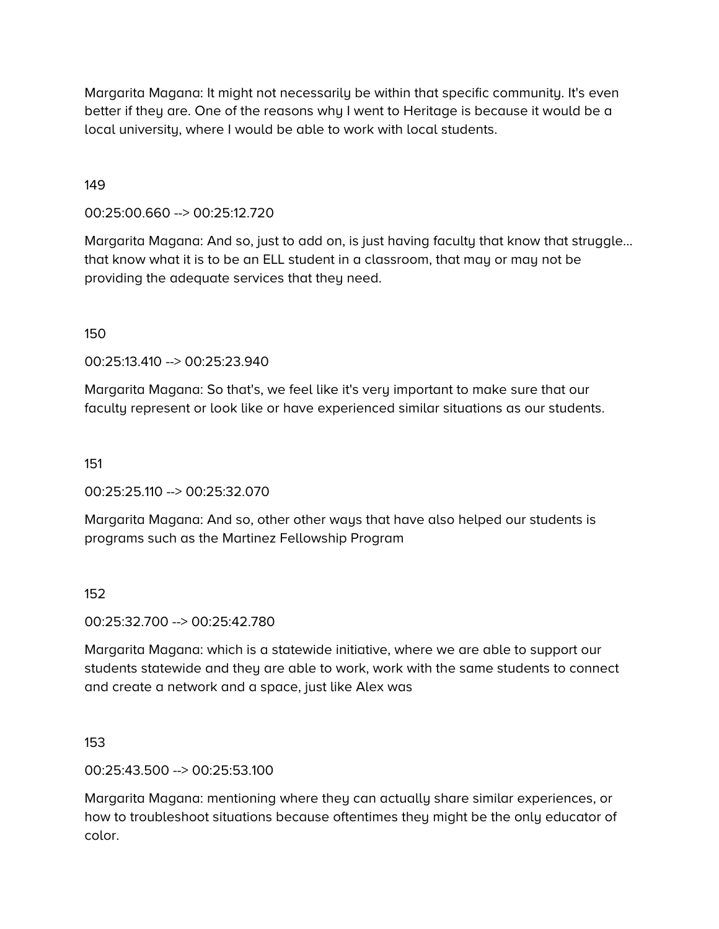Margarita Magana: It might not necessarily be within that specific community. It's even better if they are. One of the reasons why I went to Heritage is because it would be a local university, where I would be able to work with local students.

149

00:25:00.660 --> 00:25:12.720

Margarita Magana: And so, just to add on, is just having faculty that know that struggle… that know what it is to be an ELL student in a classroom, that may or may not be providing the adequate services that they need.

150

00:25:13.410 --> 00:25:23.940

Margarita Magana: So that's, we feel like it's very important to make sure that our faculty represent or look like or have experienced similar situations as our students.

151

00:25:25.110 --> 00:25:32.070

Margarita Magana: And so, other other ways that have also helped our students is programs such as the Martinez Fellowship Program

152

00:25:32.700 --> 00:25:42.780

Margarita Magana: which is a statewide initiative, where we are able to support our students statewide and they are able to work, work with the same students to connect and create a network and a space, just like Alex was

153

00:25:43.500 --> 00:25:53.100

Margarita Magana: mentioning where they can actually share similar experiences, or how to troubleshoot situations because oftentimes they might be the only educator of color.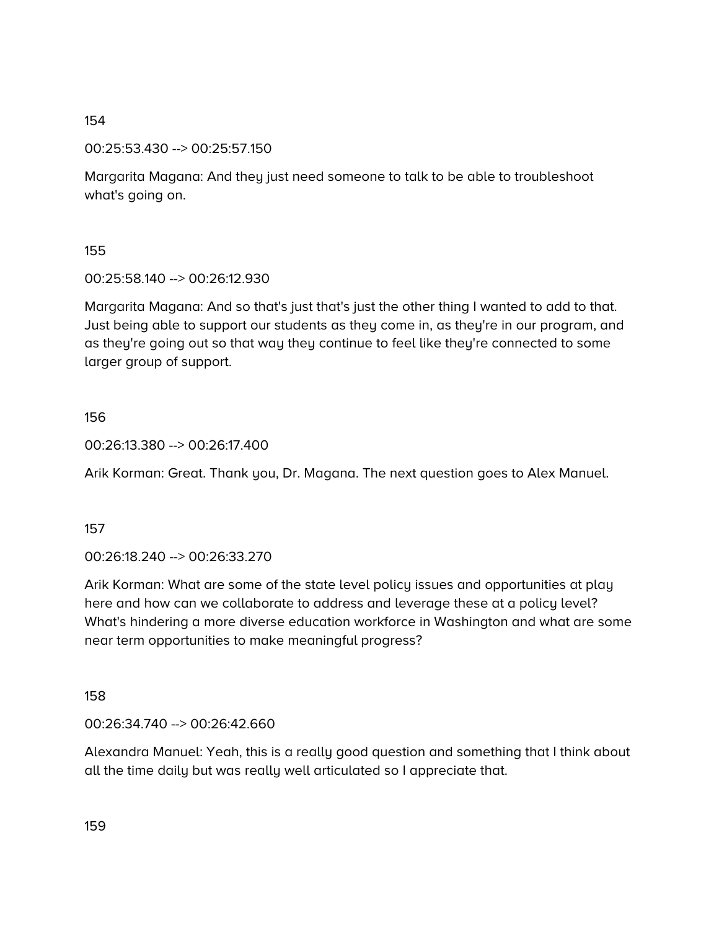00:25:53.430 --> 00:25:57.150

Margarita Magana: And they just need someone to talk to be able to troubleshoot what's going on.

155

00:25:58.140 --> 00:26:12.930

Margarita Magana: And so that's just that's just the other thing I wanted to add to that. Just being able to support our students as they come in, as they're in our program, and as they're going out so that way they continue to feel like they're connected to some larger group of support.

## 156

00:26:13.380 --> 00:26:17.400

Arik Korman: Great. Thank you, Dr. Magana. The next question goes to Alex Manuel.

157

00:26:18.240 --> 00:26:33.270

Arik Korman: What are some of the state level policy issues and opportunities at play here and how can we collaborate to address and leverage these at a policy level? What's hindering a more diverse education workforce in Washington and what are some near term opportunities to make meaningful progress?

158

00:26:34.740 --> 00:26:42.660

Alexandra Manuel: Yeah, this is a really good question and something that I think about all the time daily but was really well articulated so I appreciate that.

159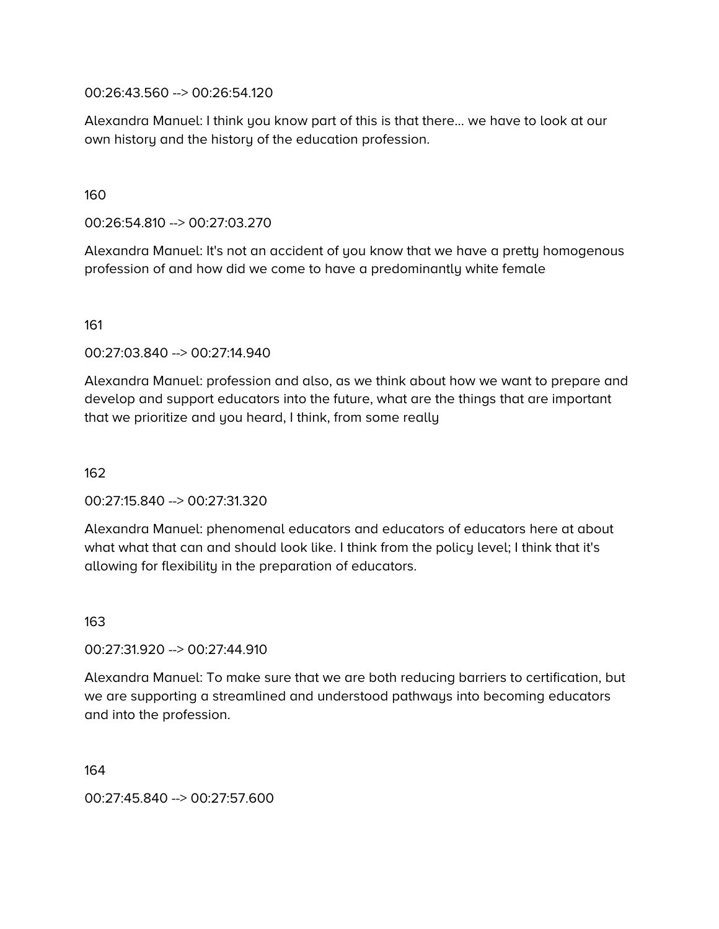00:26:43.560 --> 00:26:54.120

Alexandra Manuel: I think you know part of this is that there… we have to look at our own history and the history of the education profession.

160

00:26:54.810 --> 00:27:03.270

Alexandra Manuel: It's not an accident of you know that we have a pretty homogenous profession of and how did we come to have a predominantly white female

161

00:27:03.840 --> 00:27:14.940

Alexandra Manuel: profession and also, as we think about how we want to prepare and develop and support educators into the future, what are the things that are important that we prioritize and you heard, I think, from some really

162

00:27:15.840 --> 00:27:31.320

Alexandra Manuel: phenomenal educators and educators of educators here at about what what that can and should look like. I think from the policy level; I think that it's allowing for flexibility in the preparation of educators.

163

00:27:31.920 --> 00:27:44.910

Alexandra Manuel: To make sure that we are both reducing barriers to certification, but we are supporting a streamlined and understood pathways into becoming educators and into the profession.

164

00:27:45.840 --> 00:27:57.600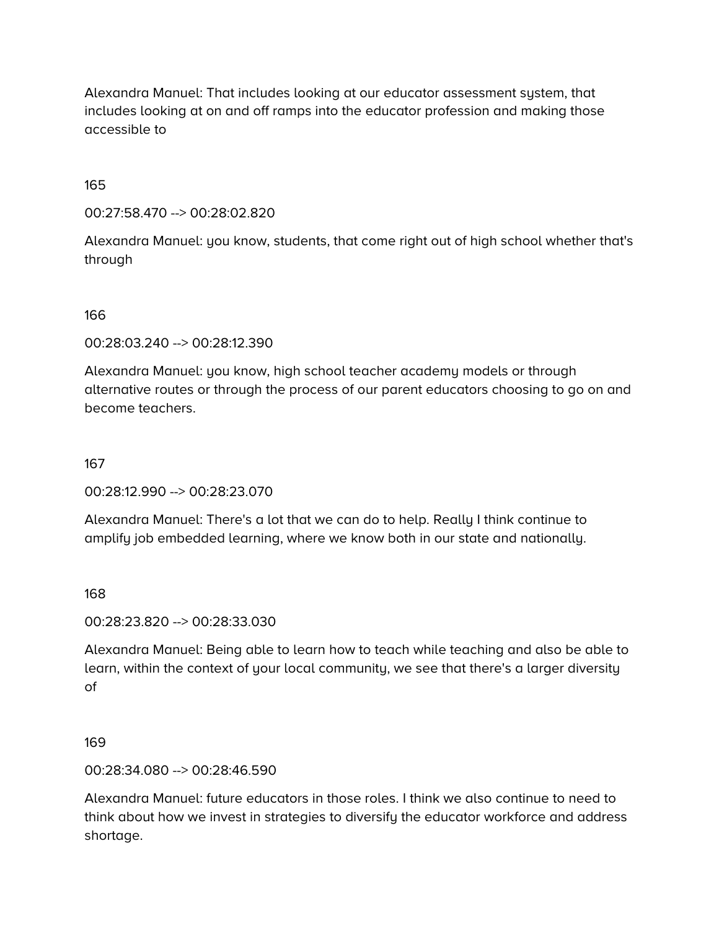Alexandra Manuel: That includes looking at our educator assessment system, that includes looking at on and off ramps into the educator profession and making those accessible to

165

00:27:58.470 --> 00:28:02.820

Alexandra Manuel: you know, students, that come right out of high school whether that's through

166

00:28:03.240 --> 00:28:12.390

Alexandra Manuel: you know, high school teacher academy models or through alternative routes or through the process of our parent educators choosing to go on and become teachers.

167

00:28:12.990 --> 00:28:23.070

Alexandra Manuel: There's a lot that we can do to help. Really I think continue to amplify job embedded learning, where we know both in our state and nationally.

168

00:28:23.820 --> 00:28:33.030

Alexandra Manuel: Being able to learn how to teach while teaching and also be able to learn, within the context of your local community, we see that there's a larger diversity of

169

00:28:34.080 --> 00:28:46.590

Alexandra Manuel: future educators in those roles. I think we also continue to need to think about how we invest in strategies to diversify the educator workforce and address shortage.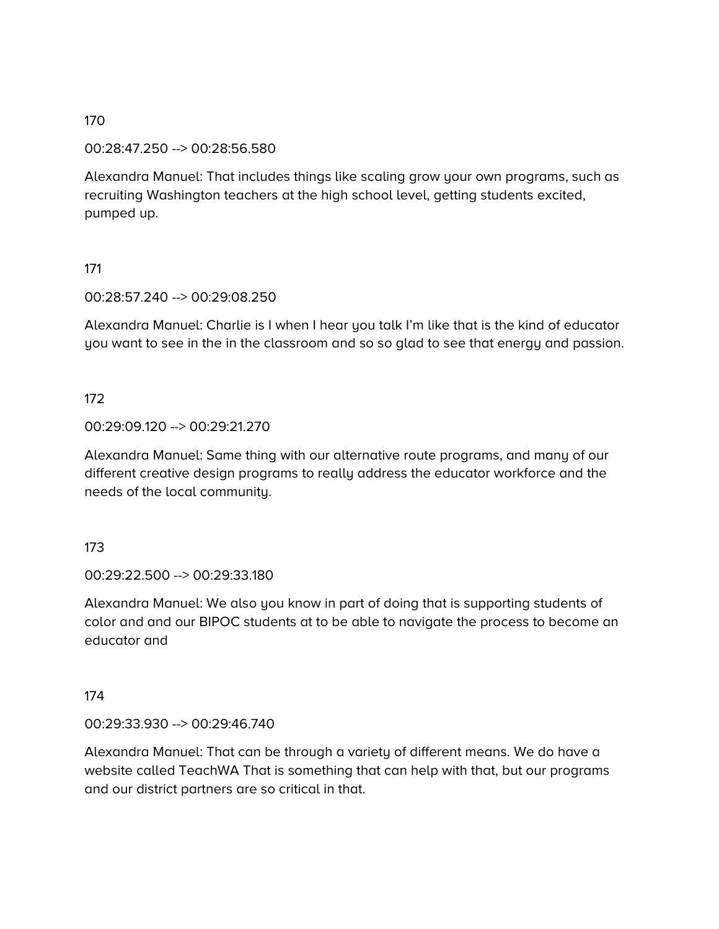#### 00:28:47.250 --> 00:28:56.580

Alexandra Manuel: That includes things like scaling grow your own programs, such as recruiting Washington teachers at the high school level, getting students excited, pumped up.

## 171

## 00:28:57.240 --> 00:29:08.250

Alexandra Manuel: Charlie is I when I hear you talk I'm like that is the kind of educator you want to see in the in the classroom and so so glad to see that energy and passion.

## 172

## 00:29:09.120 --> 00:29:21.270

Alexandra Manuel: Same thing with our alternative route programs, and many of our different creative design programs to really address the educator workforce and the needs of the local community.

#### 173

00:29:22.500 --> 00:29:33.180

Alexandra Manuel: We also you know in part of doing that is supporting students of color and and our BIPOC students at to be able to navigate the process to become an educator and

#### 174

#### 00:29:33.930 --> 00:29:46.740

Alexandra Manuel: That can be through a variety of different means. We do have a website called TeachWA That is something that can help with that, but our programs and our district partners are so critical in that.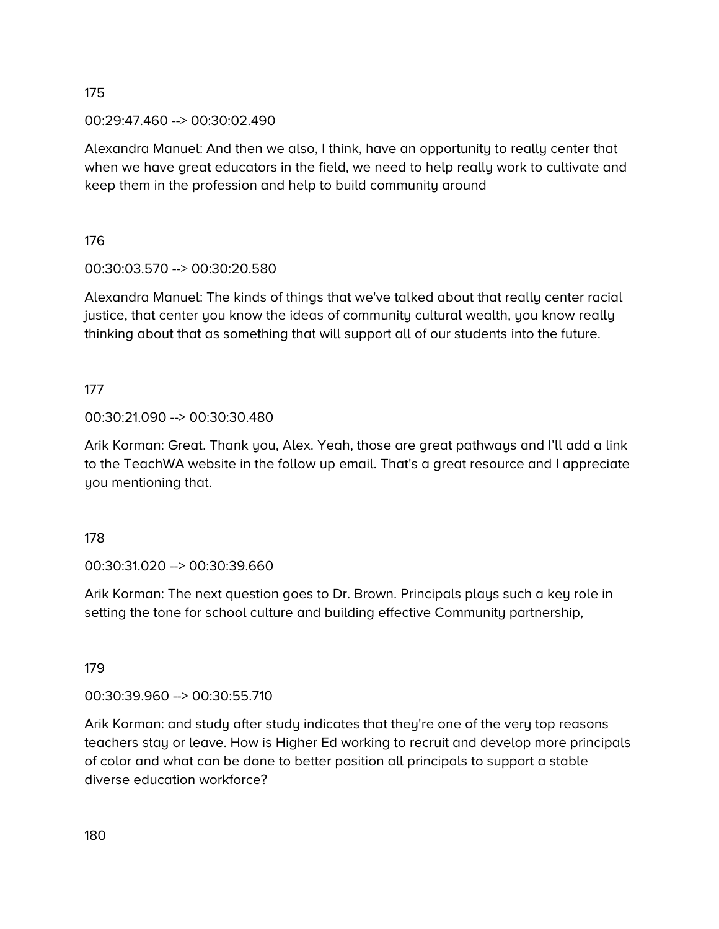00:29:47.460 --> 00:30:02.490

Alexandra Manuel: And then we also, I think, have an opportunity to really center that when we have great educators in the field, we need to help really work to cultivate and keep them in the profession and help to build community around

176

# 00:30:03.570 --> 00:30:20.580

Alexandra Manuel: The kinds of things that we've talked about that really center racial justice, that center you know the ideas of community cultural wealth, you know really thinking about that as something that will support all of our students into the future.

177

# 00:30:21.090 --> 00:30:30.480

Arik Korman: Great. Thank you, Alex. Yeah, those are great pathways and I'll add a link to the TeachWA website in the follow up email. That's a great resource and I appreciate you mentioning that.

178

00:30:31.020 --> 00:30:39.660

Arik Korman: The next question goes to Dr. Brown. Principals plays such a key role in setting the tone for school culture and building effective Community partnership,

179

00:30:39.960 --> 00:30:55.710

Arik Korman: and study after study indicates that they're one of the very top reasons teachers stay or leave. How is Higher Ed working to recruit and develop more principals of color and what can be done to better position all principals to support a stable diverse education workforce?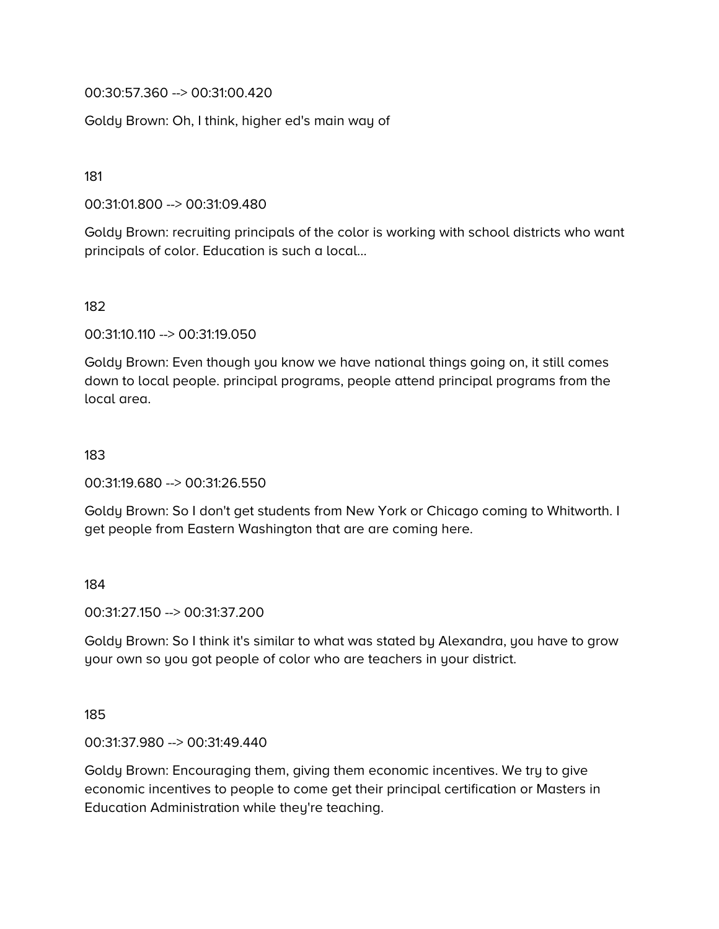00:30:57.360 --> 00:31:00.420

Goldy Brown: Oh, I think, higher ed's main way of

181

00:31:01.800 --> 00:31:09.480

Goldy Brown: recruiting principals of the color is working with school districts who want principals of color. Education is such a local…

## 182

00:31:10.110 --> 00:31:19.050

Goldy Brown: Even though you know we have national things going on, it still comes down to local people. principal programs, people attend principal programs from the local area.

#### 183

00:31:19.680 --> 00:31:26.550

Goldy Brown: So I don't get students from New York or Chicago coming to Whitworth. I get people from Eastern Washington that are are coming here.

184

00:31:27.150 --> 00:31:37.200

Goldy Brown: So I think it's similar to what was stated by Alexandra, you have to grow your own so you got people of color who are teachers in your district.

185

00:31:37.980 --> 00:31:49.440

Goldy Brown: Encouraging them, giving them economic incentives. We try to give economic incentives to people to come get their principal certification or Masters in Education Administration while they're teaching.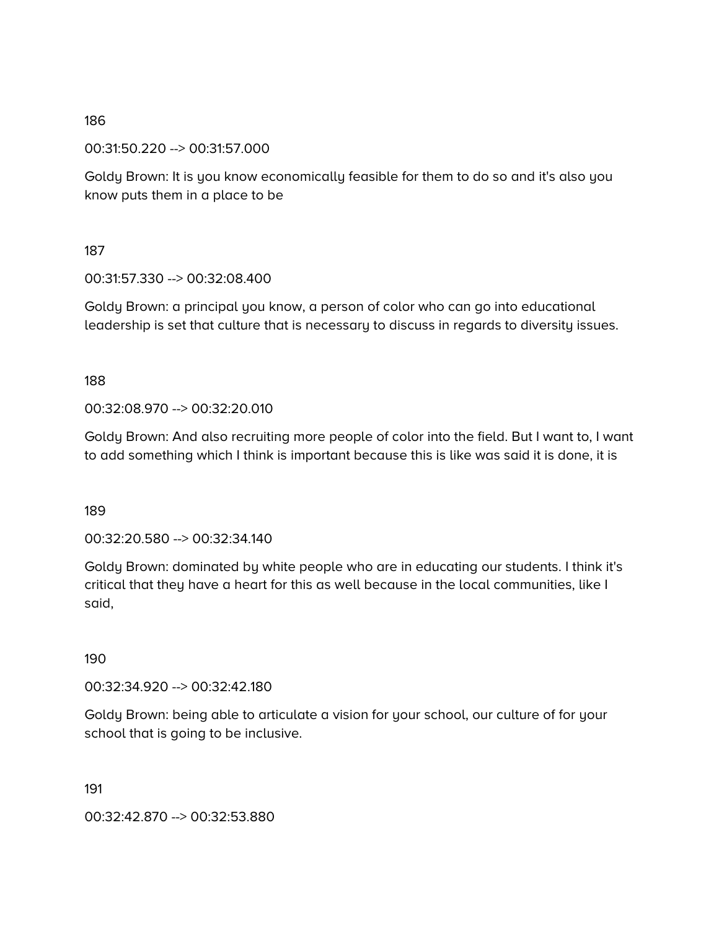00:31:50.220 --> 00:31:57.000

Goldy Brown: It is you know economically feasible for them to do so and it's also you know puts them in a place to be

187

00:31:57.330 --> 00:32:08.400

Goldy Brown: a principal you know, a person of color who can go into educational leadership is set that culture that is necessary to discuss in regards to diversity issues.

188

00:32:08.970 --> 00:32:20.010

Goldy Brown: And also recruiting more people of color into the field. But I want to, I want to add something which I think is important because this is like was said it is done, it is

189

00:32:20.580 --> 00:32:34.140

Goldy Brown: dominated by white people who are in educating our students. I think it's critical that they have a heart for this as well because in the local communities, like I said,

190

00:32:34.920 --> 00:32:42.180

Goldy Brown: being able to articulate a vision for your school, our culture of for your school that is going to be inclusive.

191

00:32:42.870 --> 00:32:53.880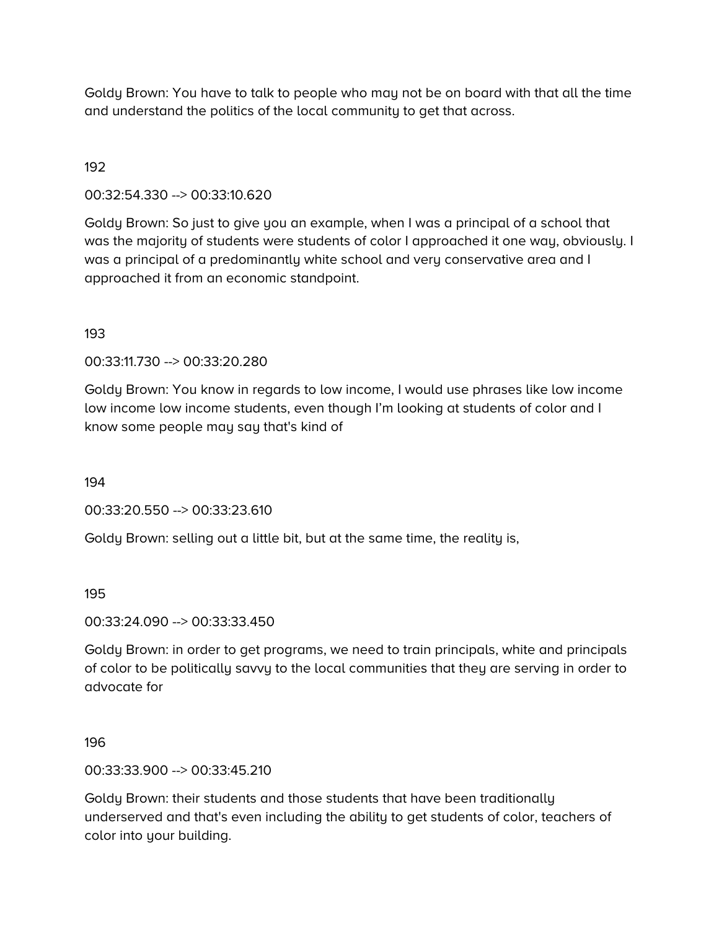Goldy Brown: You have to talk to people who may not be on board with that all the time and understand the politics of the local community to get that across.

## 192

00:32:54.330 --> 00:33:10.620

Goldy Brown: So just to give you an example, when I was a principal of a school that was the majority of students were students of color I approached it one way, obviously. I was a principal of a predominantly white school and very conservative area and I approached it from an economic standpoint.

#### 193

00:33:11.730 --> 00:33:20.280

Goldy Brown: You know in regards to low income, I would use phrases like low income low income low income students, even though I'm looking at students of color and I know some people may say that's kind of

194

00:33:20.550 --> 00:33:23.610

Goldy Brown: selling out a little bit, but at the same time, the reality is,

#### 195

00:33:24.090 --> 00:33:33.450

Goldy Brown: in order to get programs, we need to train principals, white and principals of color to be politically savvy to the local communities that they are serving in order to advocate for

#### 196

00:33:33.900 --> 00:33:45.210

Goldy Brown: their students and those students that have been traditionally underserved and that's even including the ability to get students of color, teachers of color into your building.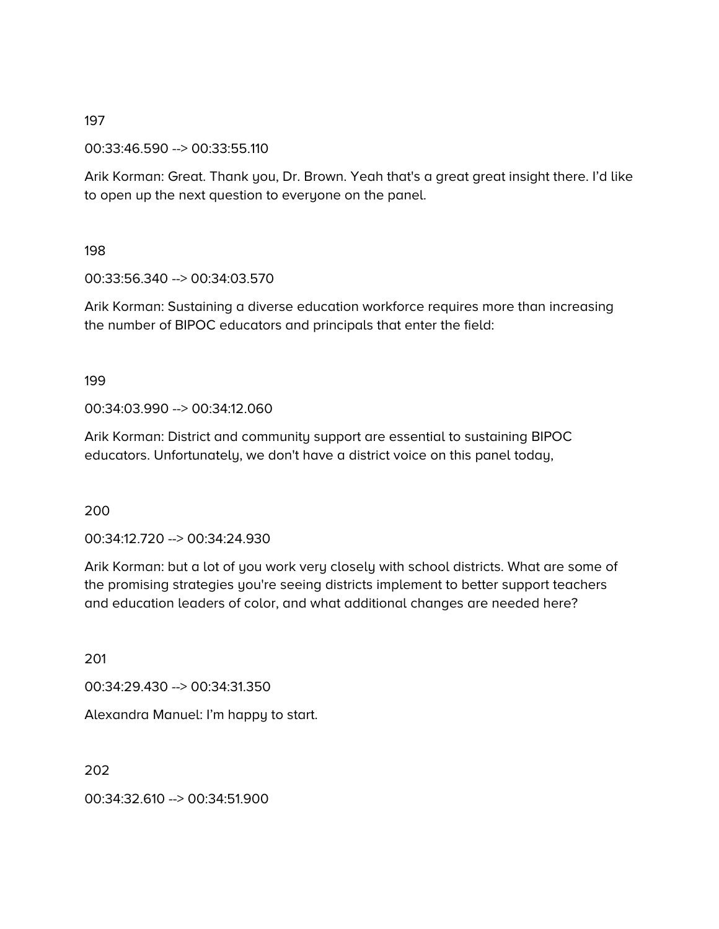00:33:46.590 --> 00:33:55.110

Arik Korman: Great. Thank you, Dr. Brown. Yeah that's a great great insight there. I'd like to open up the next question to everyone on the panel.

198

00:33:56.340 --> 00:34:03.570

Arik Korman: Sustaining a diverse education workforce requires more than increasing the number of BIPOC educators and principals that enter the field:

199

00:34:03.990 --> 00:34:12.060

Arik Korman: District and community support are essential to sustaining BIPOC educators. Unfortunately, we don't have a district voice on this panel today,

200

00:34:12.720 --> 00:34:24.930

Arik Korman: but a lot of you work very closely with school districts. What are some of the promising strategies you're seeing districts implement to better support teachers and education leaders of color, and what additional changes are needed here?

201

00:34:29.430 --> 00:34:31.350

Alexandra Manuel: I'm happy to start.

202

00:34:32.610 --> 00:34:51.900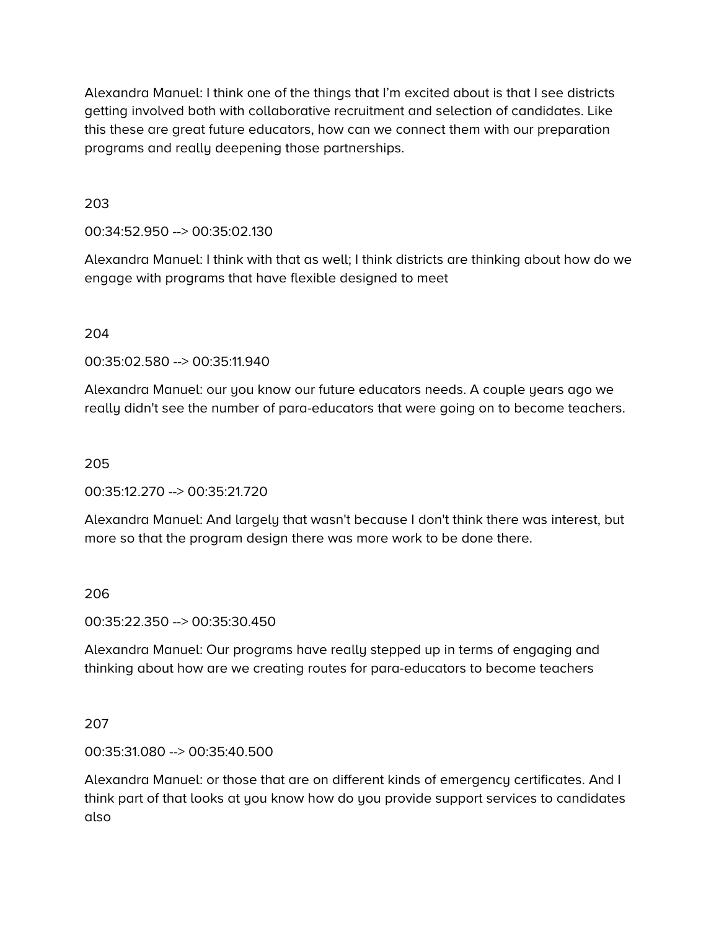Alexandra Manuel: I think one of the things that I'm excited about is that I see districts getting involved both with collaborative recruitment and selection of candidates. Like this these are great future educators, how can we connect them with our preparation programs and really deepening those partnerships.

203

00:34:52.950 --> 00:35:02.130

Alexandra Manuel: I think with that as well; I think districts are thinking about how do we engage with programs that have flexible designed to meet

204

00:35:02.580 --> 00:35:11.940

Alexandra Manuel: our you know our future educators needs. A couple years ago we really didn't see the number of para-educators that were going on to become teachers.

205

00:35:12.270 --> 00:35:21.720

Alexandra Manuel: And largely that wasn't because I don't think there was interest, but more so that the program design there was more work to be done there.

#### 206

00:35:22.350 --> 00:35:30.450

Alexandra Manuel: Our programs have really stepped up in terms of engaging and thinking about how are we creating routes for para-educators to become teachers

207

00:35:31.080 --> 00:35:40.500

Alexandra Manuel: or those that are on different kinds of emergency certificates. And I think part of that looks at you know how do you provide support services to candidates also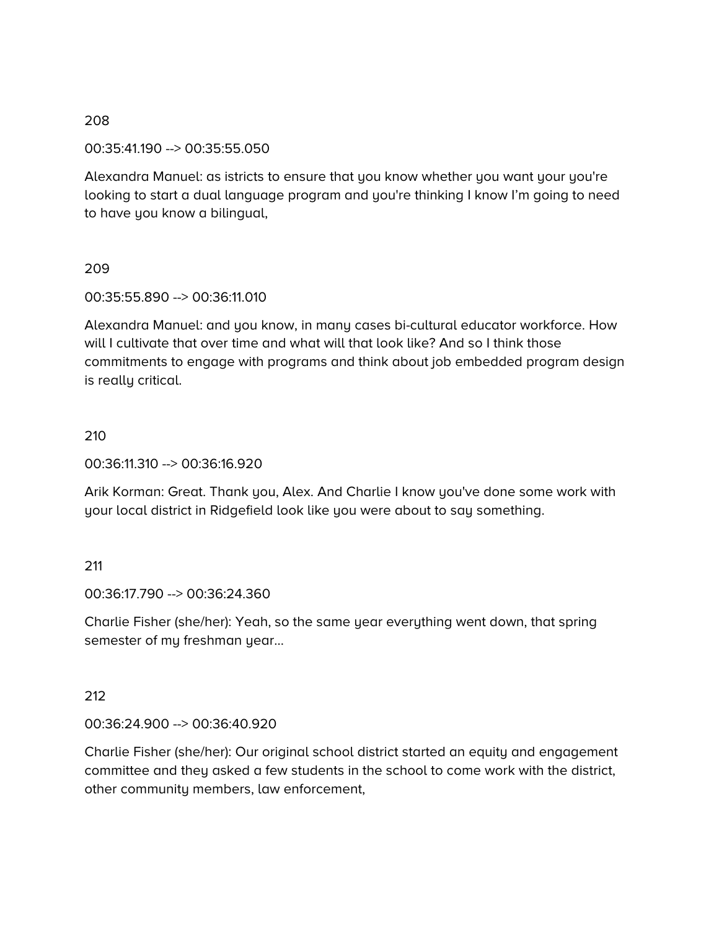#### 00:35:41.190 --> 00:35:55.050

Alexandra Manuel: as istricts to ensure that you know whether you want your you're looking to start a dual language program and you're thinking I know I'm going to need to have you know a bilingual,

#### 209

#### 00:35:55.890 --> 00:36:11.010

Alexandra Manuel: and you know, in many cases bi-cultural educator workforce. How will I cultivate that over time and what will that look like? And so I think those commitments to engage with programs and think about job embedded program design is really critical.

#### 210

00:36:11.310 --> 00:36:16.920

Arik Korman: Great. Thank you, Alex. And Charlie I know you've done some work with your local district in Ridgefield look like you were about to say something.

#### 211

#### 00:36:17.790 --> 00:36:24.360

Charlie Fisher (she/her): Yeah, so the same year everything went down, that spring semester of my freshman year...

#### 212

#### 00:36:24.900 --> 00:36:40.920

Charlie Fisher (she/her): Our original school district started an equity and engagement committee and they asked a few students in the school to come work with the district, other community members, law enforcement,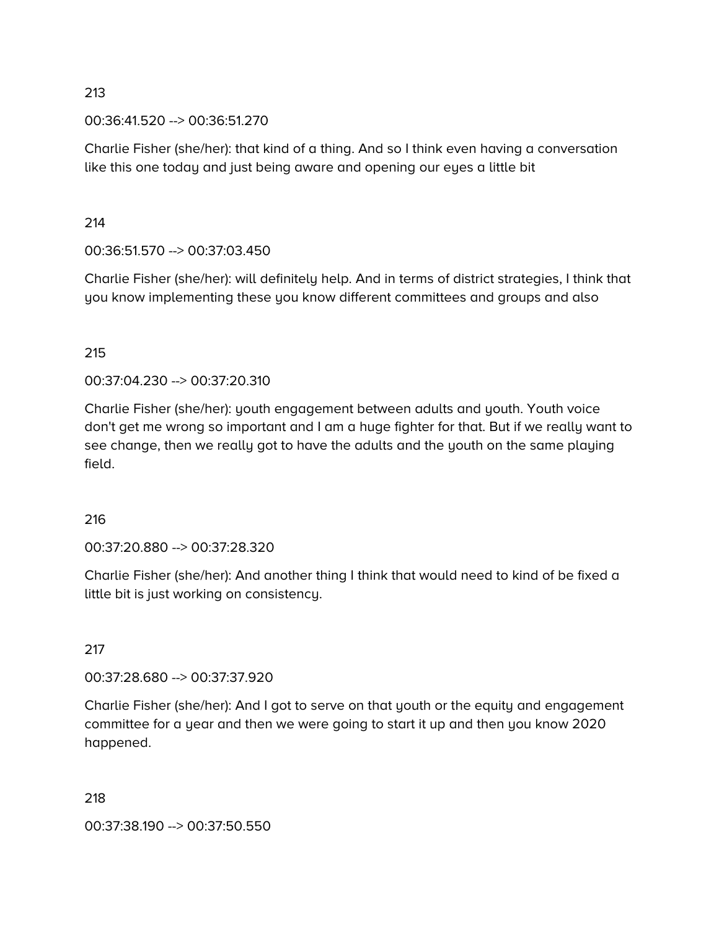00:36:41.520 --> 00:36:51.270

Charlie Fisher (she/her): that kind of a thing. And so I think even having a conversation like this one today and just being aware and opening our eyes a little bit

#### 214

00:36:51.570 --> 00:37:03.450

Charlie Fisher (she/her): will definitely help. And in terms of district strategies, I think that you know implementing these you know different committees and groups and also

# 215

00:37:04.230 --> 00:37:20.310

Charlie Fisher (she/her): youth engagement between adults and youth. Youth voice don't get me wrong so important and I am a huge fighter for that. But if we really want to see change, then we really got to have the adults and the youth on the same playing field.

#### 216

00:37:20.880 --> 00:37:28.320

Charlie Fisher (she/her): And another thing I think that would need to kind of be fixed a little bit is just working on consistency.

# 217

00:37:28.680 --> 00:37:37.920

Charlie Fisher (she/her): And I got to serve on that youth or the equity and engagement committee for a year and then we were going to start it up and then you know 2020 happened.

#### 218

00:37:38.190 --> 00:37:50.550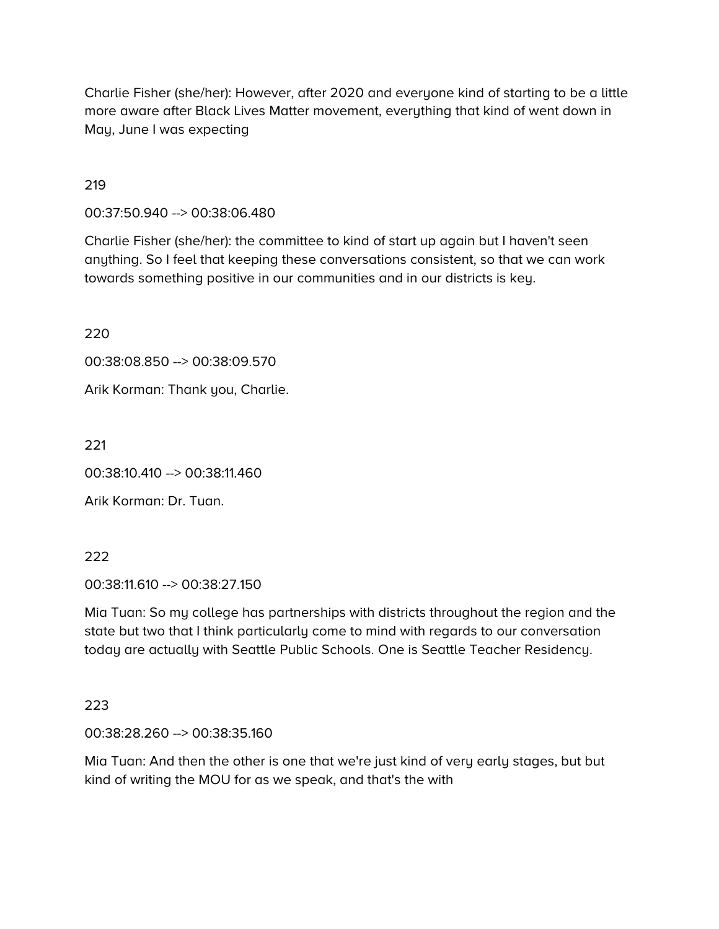Charlie Fisher (she/her): However, after 2020 and everyone kind of starting to be a little more aware after Black Lives Matter movement, everything that kind of went down in May, June I was expecting

#### 219

00:37:50.940 --> 00:38:06.480

Charlie Fisher (she/her): the committee to kind of start up again but I haven't seen anything. So I feel that keeping these conversations consistent, so that we can work towards something positive in our communities and in our districts is key.

220

00:38:08.850 --> 00:38:09.570

Arik Korman: Thank you, Charlie.

221

00:38:10.410 --> 00:38:11.460

Arik Korman: Dr. Tuan.

222

00:38:11.610 --> 00:38:27.150

Mia Tuan: So my college has partnerships with districts throughout the region and the state but two that I think particularly come to mind with regards to our conversation today are actually with Seattle Public Schools. One is Seattle Teacher Residency.

223

00:38:28.260 --> 00:38:35.160

Mia Tuan: And then the other is one that we're just kind of very early stages, but but kind of writing the MOU for as we speak, and that's the with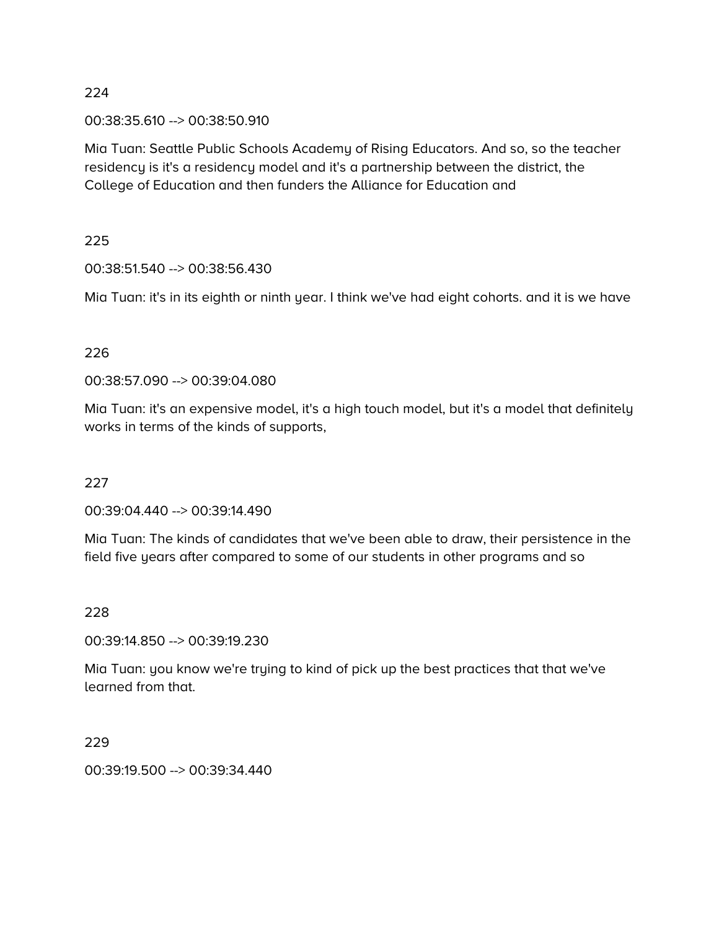00:38:35.610 --> 00:38:50.910

Mia Tuan: Seattle Public Schools Academy of Rising Educators. And so, so the teacher residency is it's a residency model and it's a partnership between the district, the College of Education and then funders the Alliance for Education and

#### 225

00:38:51.540 --> 00:38:56.430

Mia Tuan: it's in its eighth or ninth year. I think we've had eight cohorts. and it is we have

## 226

00:38:57.090 --> 00:39:04.080

Mia Tuan: it's an expensive model, it's a high touch model, but it's a model that definitely works in terms of the kinds of supports,

#### 227

00:39:04.440 --> 00:39:14.490

Mia Tuan: The kinds of candidates that we've been able to draw, their persistence in the field five years after compared to some of our students in other programs and so

#### 228

00:39:14.850 --> 00:39:19.230

Mia Tuan: you know we're trying to kind of pick up the best practices that that we've learned from that.

229

00:39:19.500 --> 00:39:34.440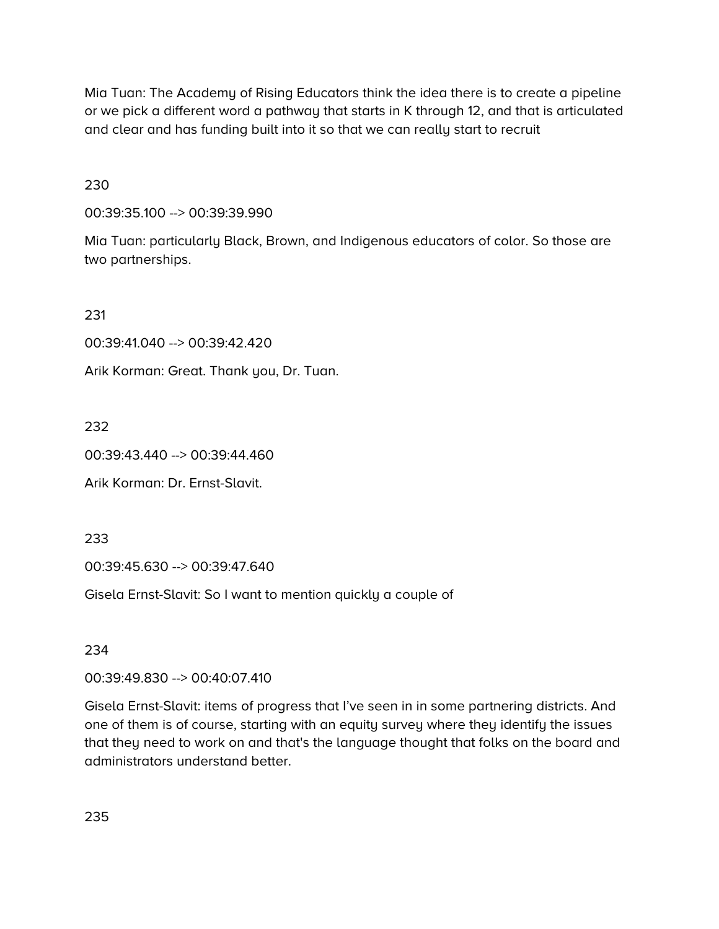Mia Tuan: The Academy of Rising Educators think the idea there is to create a pipeline or we pick a different word a pathway that starts in K through 12, and that is articulated and clear and has funding built into it so that we can really start to recruit

230

00:39:35.100 --> 00:39:39.990

Mia Tuan: particularly Black, Brown, and Indigenous educators of color. So those are two partnerships.

231

00:39:41.040 --> 00:39:42.420

Arik Korman: Great. Thank you, Dr. Tuan.

232

00:39:43.440 --> 00:39:44.460

Arik Korman: Dr. Ernst-Slavit.

233

00:39:45.630 --> 00:39:47.640

Gisela Ernst-Slavit: So I want to mention quickly a couple of

234

00:39:49.830 --> 00:40:07.410

Gisela Ernst-Slavit: items of progress that I've seen in in some partnering districts. And one of them is of course, starting with an equity survey where they identify the issues that they need to work on and that's the language thought that folks on the board and administrators understand better.

235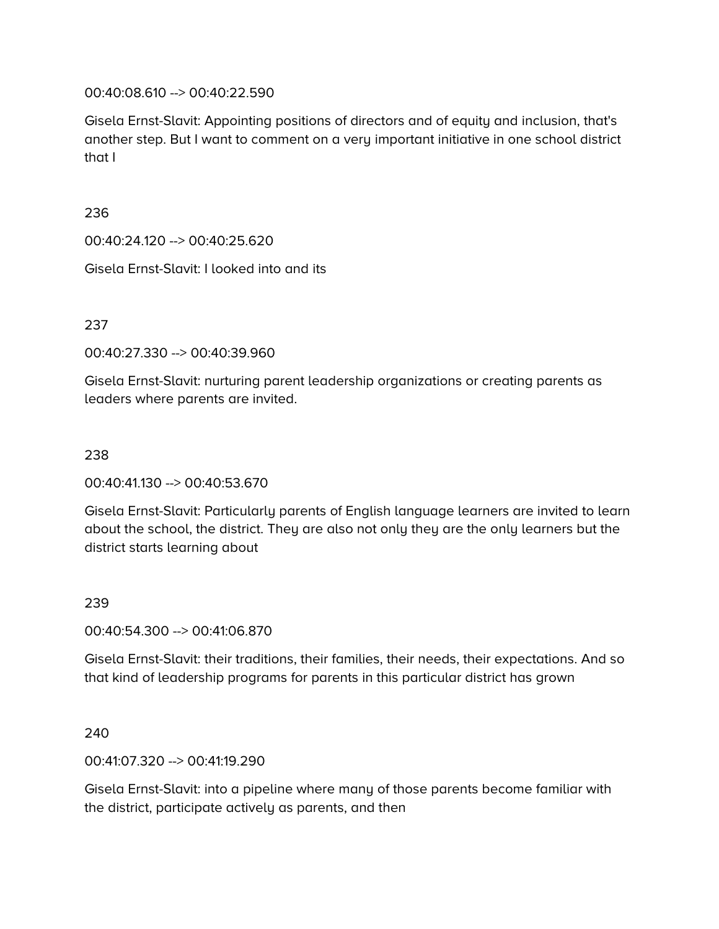00:40:08.610 --> 00:40:22.590

Gisela Ernst-Slavit: Appointing positions of directors and of equity and inclusion, that's another step. But I want to comment on a very important initiative in one school district that I

236

00:40:24.120 --> 00:40:25.620

Gisela Ernst-Slavit: I looked into and its

237

00:40:27.330 --> 00:40:39.960

Gisela Ernst-Slavit: nurturing parent leadership organizations or creating parents as leaders where parents are invited.

## 238

00:40:41.130 --> 00:40:53.670

Gisela Ernst-Slavit: Particularly parents of English language learners are invited to learn about the school, the district. They are also not only they are the only learners but the district starts learning about

# 239

00:40:54.300 --> 00:41:06.870

Gisela Ernst-Slavit: their traditions, their families, their needs, their expectations. And so that kind of leadership programs for parents in this particular district has grown

240

00:41:07.320 --> 00:41:19.290

Gisela Ernst-Slavit: into a pipeline where many of those parents become familiar with the district, participate actively as parents, and then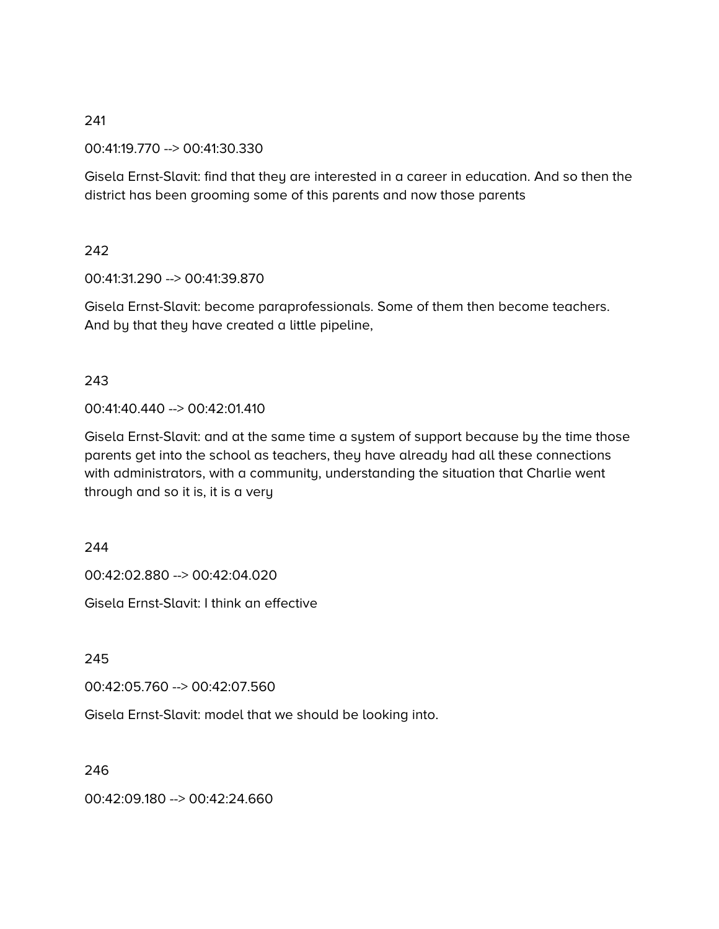00:41:19.770 --> 00:41:30.330

Gisela Ernst-Slavit: find that they are interested in a career in education. And so then the district has been grooming some of this parents and now those parents

#### 242

00:41:31.290 --> 00:41:39.870

Gisela Ernst-Slavit: become paraprofessionals. Some of them then become teachers. And by that they have created a little pipeline,

#### 243

00:41:40.440 --> 00:42:01.410

Gisela Ernst-Slavit: and at the same time a system of support because by the time those parents get into the school as teachers, they have already had all these connections with administrators, with a community, understanding the situation that Charlie went through and so it is, it is a very

#### 244

00:42:02.880 --> 00:42:04.020

Gisela Ernst-Slavit: I think an effective

245

00:42:05.760 --> 00:42:07.560

Gisela Ernst-Slavit: model that we should be looking into.

246

00:42:09.180 --> 00:42:24.660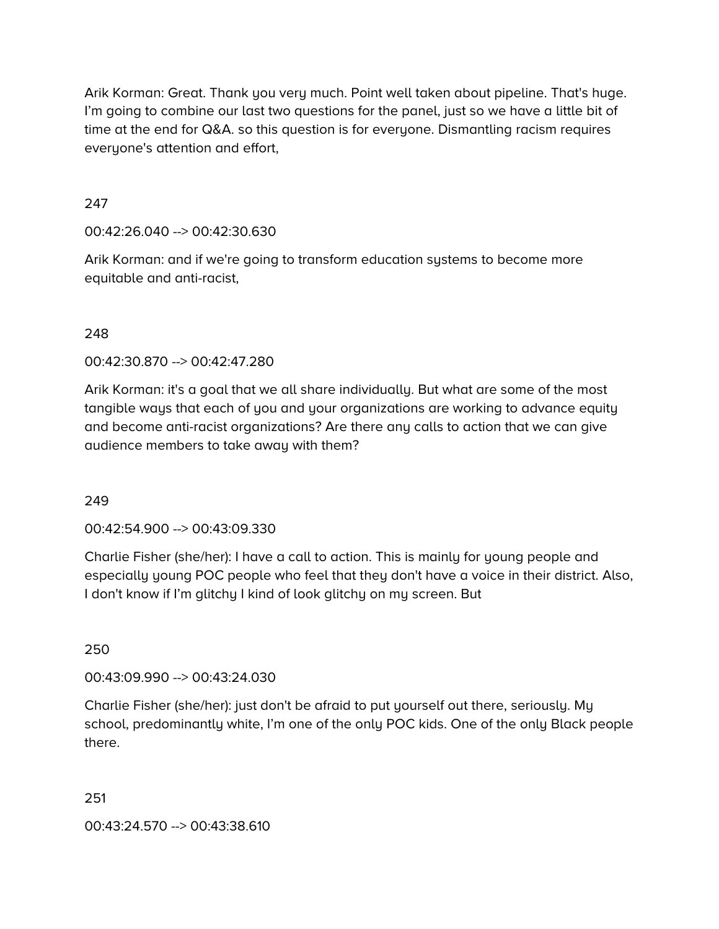Arik Korman: Great. Thank you very much. Point well taken about pipeline. That's huge. I'm going to combine our last two questions for the panel, just so we have a little bit of time at the end for Q&A. so this question is for everyone. Dismantling racism requires everyone's attention and effort,

# 247

## 00:42:26.040 --> 00:42:30.630

Arik Korman: and if we're going to transform education systems to become more equitable and anti-racist,

## 248

00:42:30.870 --> 00:42:47.280

Arik Korman: it's a goal that we all share individually. But what are some of the most tangible ways that each of you and your organizations are working to advance equity and become anti-racist organizations? Are there any calls to action that we can give audience members to take away with them?

#### 249

00:42:54.900 --> 00:43:09.330

Charlie Fisher (she/her): I have a call to action. This is mainly for young people and especially young POC people who feel that they don't have a voice in their district. Also, I don't know if I'm glitchy I kind of look glitchy on my screen. But

250

00:43:09.990 --> 00:43:24.030

Charlie Fisher (she/her): just don't be afraid to put yourself out there, seriously. My school, predominantly white, I'm one of the only POC kids. One of the only Black people there.

251

00:43:24.570 --> 00:43:38.610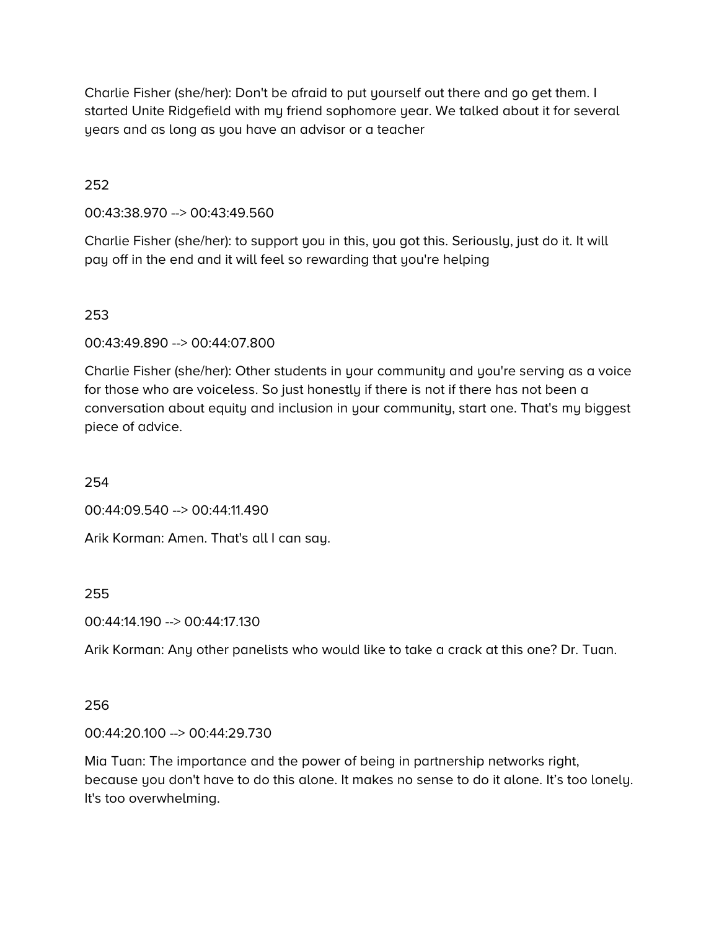Charlie Fisher (she/her): Don't be afraid to put yourself out there and go get them. I started Unite Ridgefield with my friend sophomore year. We talked about it for several years and as long as you have an advisor or a teacher

## 252

00:43:38.970 --> 00:43:49.560

Charlie Fisher (she/her): to support you in this, you got this. Seriously, just do it. It will pay off in the end and it will feel so rewarding that you're helping

# 253

00:43:49.890 --> 00:44:07.800

Charlie Fisher (she/her): Other students in your community and you're serving as a voice for those who are voiceless. So just honestly if there is not if there has not been a conversation about equity and inclusion in your community, start one. That's my biggest piece of advice.

254

00:44:09.540 --> 00:44:11.490

Arik Korman: Amen. That's all I can say.

# 255

00:44:14.190 --> 00:44:17.130

Arik Korman: Any other panelists who would like to take a crack at this one? Dr. Tuan.

# 256

00:44:20.100 --> 00:44:29.730

Mia Tuan: The importance and the power of being in partnership networks right, because you don't have to do this alone. It makes no sense to do it alone. It's too lonely. It's too overwhelming.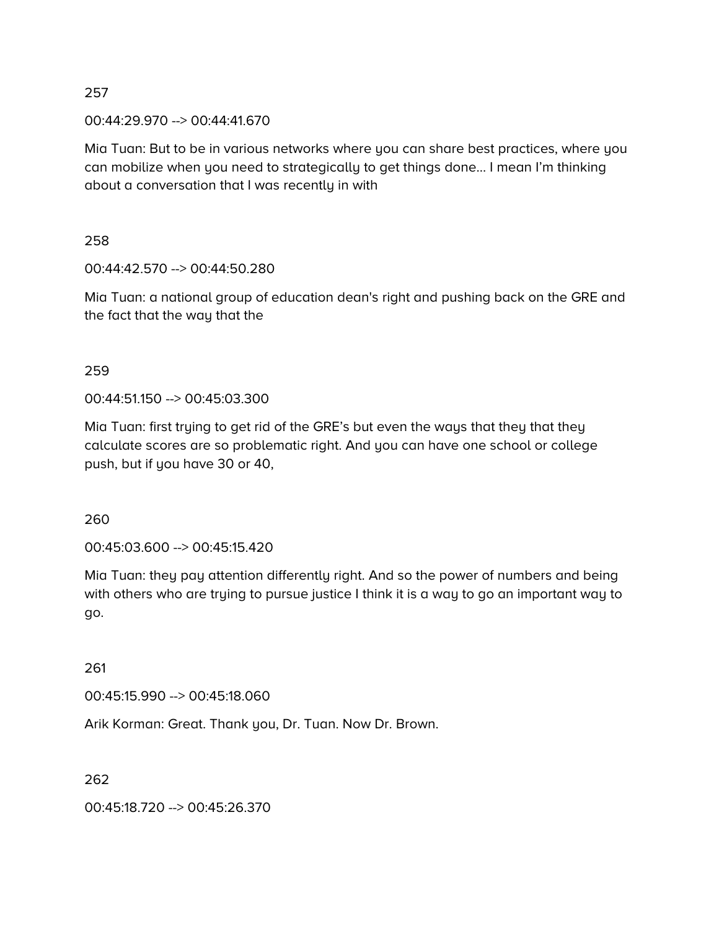00:44:29.970 --> 00:44:41.670

Mia Tuan: But to be in various networks where you can share best practices, where you can mobilize when you need to strategically to get things done… I mean I'm thinking about a conversation that I was recently in with

258

00:44:42.570 --> 00:44:50.280

Mia Tuan: a national group of education dean's right and pushing back on the GRE and the fact that the way that the

259

00:44:51.150 --> 00:45:03.300

Mia Tuan: first trying to get rid of the GRE's but even the ways that they that they calculate scores are so problematic right. And you can have one school or college push, but if you have 30 or 40,

260

00:45:03.600 --> 00:45:15.420

Mia Tuan: they pay attention differently right. And so the power of numbers and being with others who are trying to pursue justice I think it is a way to go an important way to go.

261

00:45:15.990 --> 00:45:18.060

Arik Korman: Great. Thank you, Dr. Tuan. Now Dr. Brown.

262

00:45:18.720 --> 00:45:26.370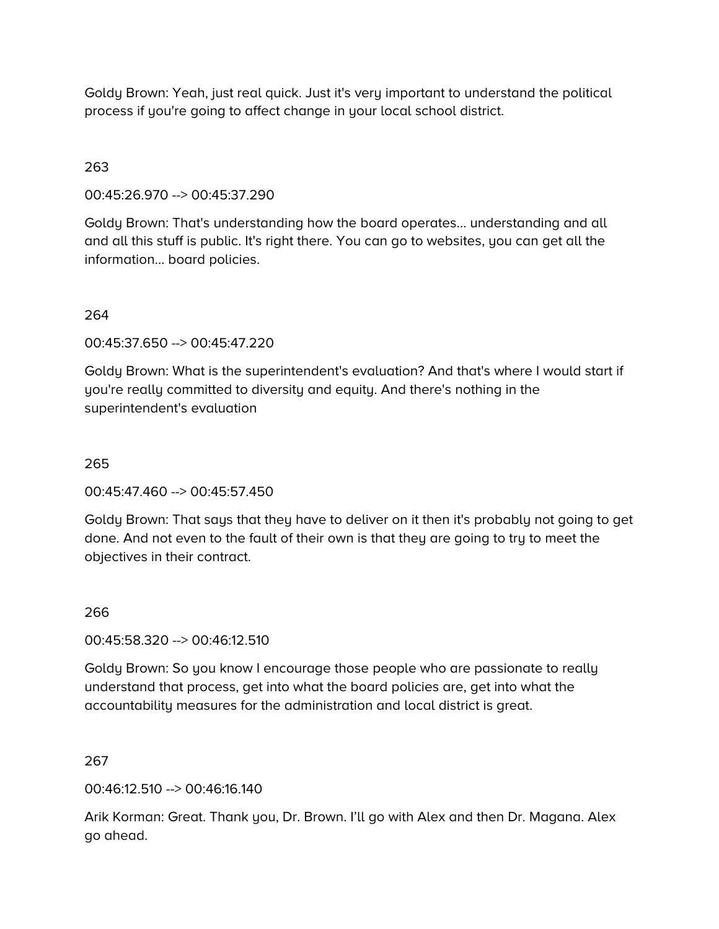Goldy Brown: Yeah, just real quick. Just it's very important to understand the political process if you're going to affect change in your local school district.

## 263

00:45:26.970 --> 00:45:37.290

Goldy Brown: That's understanding how the board operates… understanding and all and all this stuff is public. It's right there. You can go to websites, you can get all the information… board policies.

# 264

00:45:37.650 --> 00:45:47.220

Goldy Brown: What is the superintendent's evaluation? And that's where I would start if you're really committed to diversity and equity. And there's nothing in the superintendent's evaluation

#### 265

00:45:47.460 --> 00:45:57.450

Goldy Brown: That says that they have to deliver on it then it's probably not going to get done. And not even to the fault of their own is that they are going to try to meet the objectives in their contract.

#### 266

00:45:58.320 --> 00:46:12.510

Goldy Brown: So you know I encourage those people who are passionate to really understand that process, get into what the board policies are, get into what the accountability measures for the administration and local district is great.

#### 267

00:46:12.510 --> 00:46:16.140

Arik Korman: Great. Thank you, Dr. Brown. I'll go with Alex and then Dr. Magana. Alex go ahead.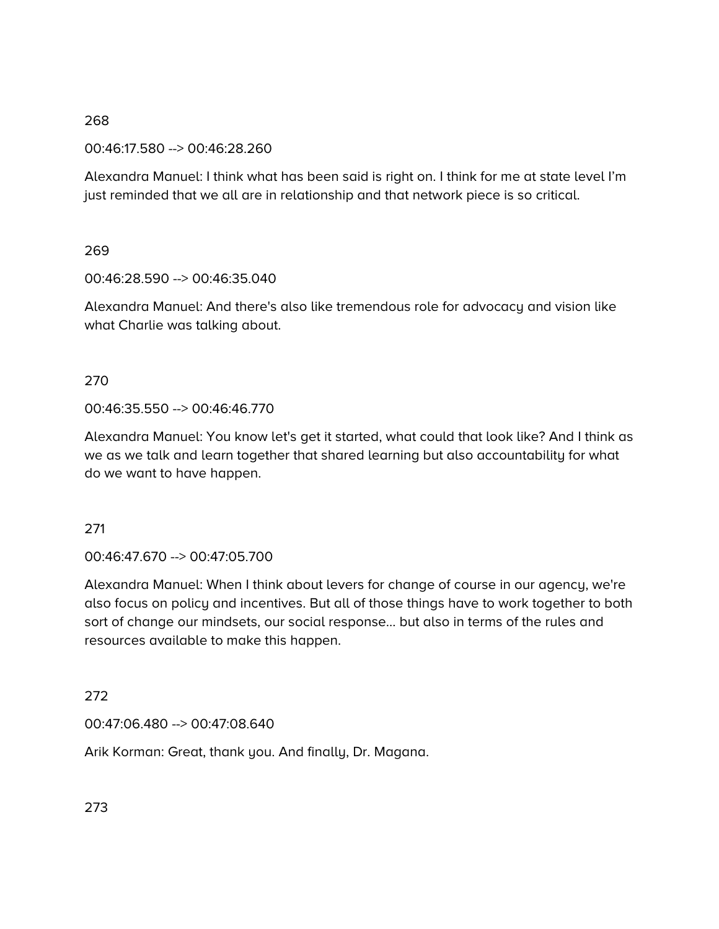00:46:17.580 --> 00:46:28.260

Alexandra Manuel: I think what has been said is right on. I think for me at state level I'm just reminded that we all are in relationship and that network piece is so critical.

## 269

00:46:28.590 --> 00:46:35.040

Alexandra Manuel: And there's also like tremendous role for advocacy and vision like what Charlie was talking about.

# 270

00:46:35.550 --> 00:46:46.770

Alexandra Manuel: You know let's get it started, what could that look like? And I think as we as we talk and learn together that shared learning but also accountability for what do we want to have happen.

# 271

00:46:47.670 --> 00:47:05.700

Alexandra Manuel: When I think about levers for change of course in our agency, we're also focus on policy and incentives. But all of those things have to work together to both sort of change our mindsets, our social response… but also in terms of the rules and resources available to make this happen.

# 272

00:47:06.480 --> 00:47:08.640

Arik Korman: Great, thank you. And finally, Dr. Magana.

273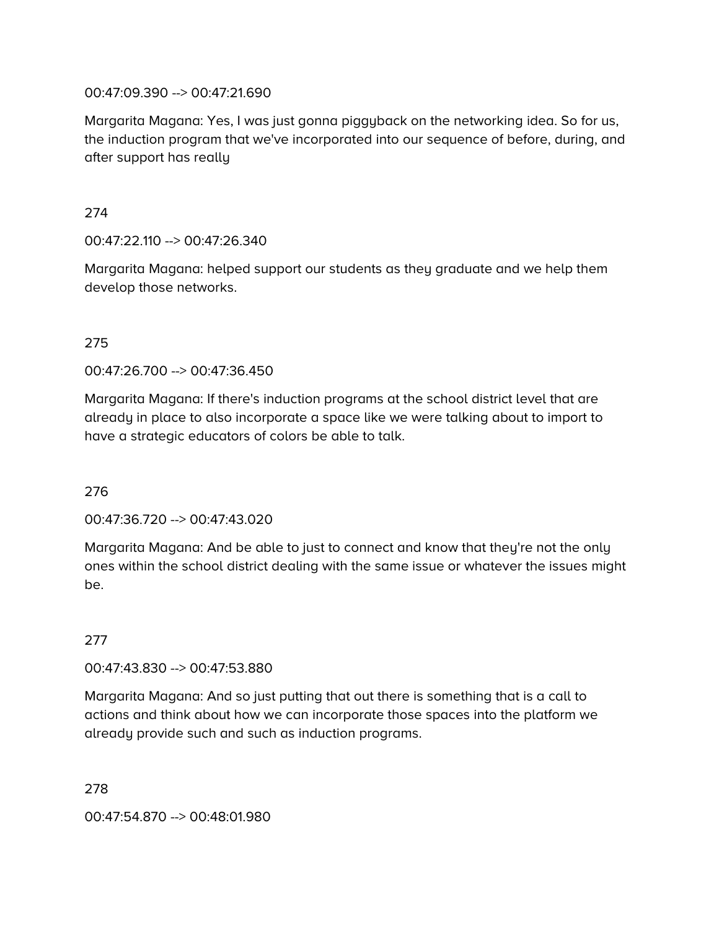#### 00:47:09.390 --> 00:47:21.690

Margarita Magana: Yes, I was just gonna piggyback on the networking idea. So for us, the induction program that we've incorporated into our sequence of before, during, and after support has really

#### 274

 $00:47:22.110 -> 00:47:26.340$ 

Margarita Magana: helped support our students as they graduate and we help them develop those networks.

## 275

00:47:26.700 --> 00:47:36.450

Margarita Magana: If there's induction programs at the school district level that are already in place to also incorporate a space like we were talking about to import to have a strategic educators of colors be able to talk.

# 276

00:47:36.720 --> 00:47:43.020

Margarita Magana: And be able to just to connect and know that they're not the only ones within the school district dealing with the same issue or whatever the issues might be.

# 277

00:47:43.830 --> 00:47:53.880

Margarita Magana: And so just putting that out there is something that is a call to actions and think about how we can incorporate those spaces into the platform we already provide such and such as induction programs.

#### 278

00:47:54.870 --> 00:48:01.980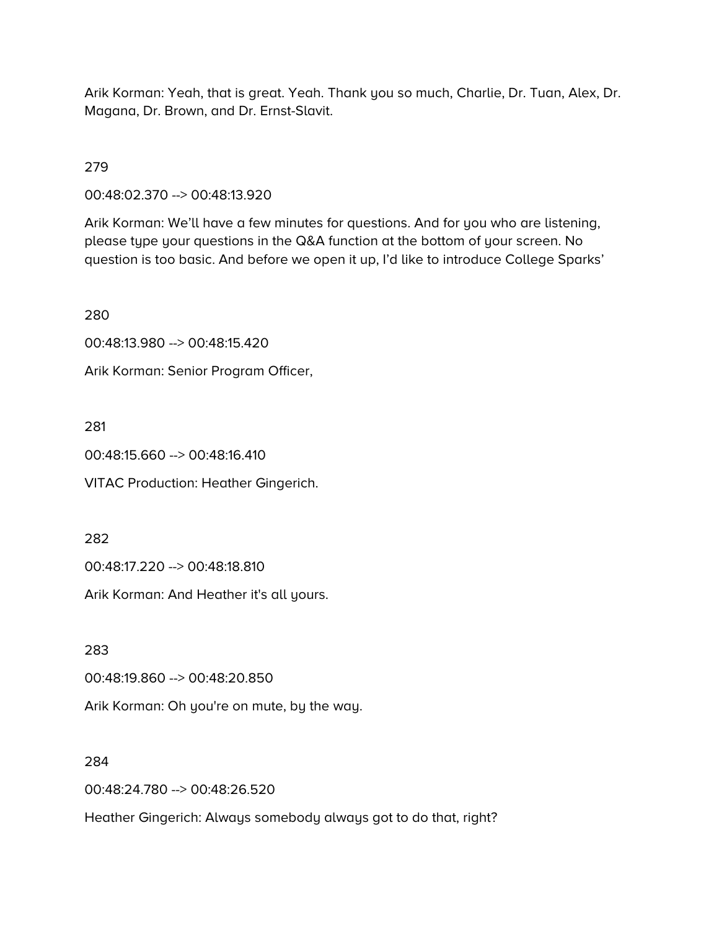Arik Korman: Yeah, that is great. Yeah. Thank you so much, Charlie, Dr. Tuan, Alex, Dr. Magana, Dr. Brown, and Dr. Ernst-Slavit.

279

00:48:02.370 --> 00:48:13.920

Arik Korman: We'll have a few minutes for questions. And for you who are listening, please type your questions in the Q&A function at the bottom of your screen. No question is too basic. And before we open it up, I'd like to introduce College Sparks'

280

00:48:13.980 --> 00:48:15.420

Arik Korman: Senior Program Officer,

281

00:48:15.660 --> 00:48:16.410

VITAC Production: Heather Gingerich.

282

00:48:17.220 --> 00:48:18.810

Arik Korman: And Heather it's all yours.

283

00:48:19.860 --> 00:48:20.850

Arik Korman: Oh you're on mute, by the way.

284

00:48:24.780 --> 00:48:26.520

Heather Gingerich: Always somebody always got to do that, right?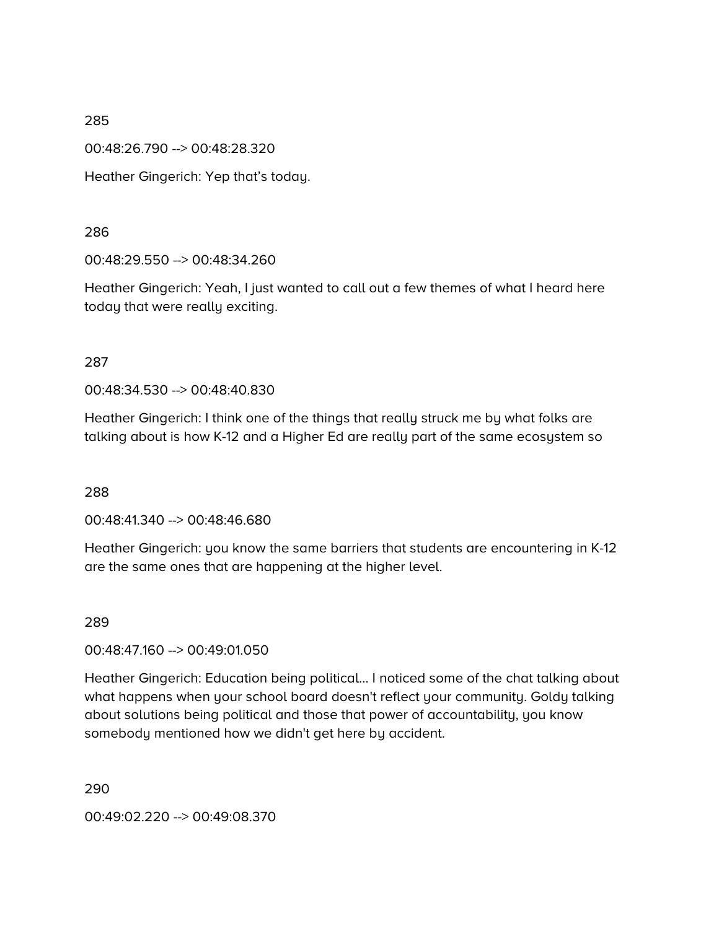00:48:26.790 --> 00:48:28.320

Heather Gingerich: Yep that's today.

## 286

00:48:29.550 --> 00:48:34.260

Heather Gingerich: Yeah, I just wanted to call out a few themes of what I heard here today that were really exciting.

## 287

00:48:34.530 --> 00:48:40.830

Heather Gingerich: I think one of the things that really struck me by what folks are talking about is how K-12 and a Higher Ed are really part of the same ecosystem so

# 288

00:48:41.340 --> 00:48:46.680

Heather Gingerich: you know the same barriers that students are encountering in K-12 are the same ones that are happening at the higher level.

# 289

00:48:47.160 --> 00:49:01.050

Heather Gingerich: Education being political… I noticed some of the chat talking about what happens when your school board doesn't reflect your community. Goldy talking about solutions being political and those that power of accountability, you know somebody mentioned how we didn't get here by accident.

290

00:49:02.220 --> 00:49:08.370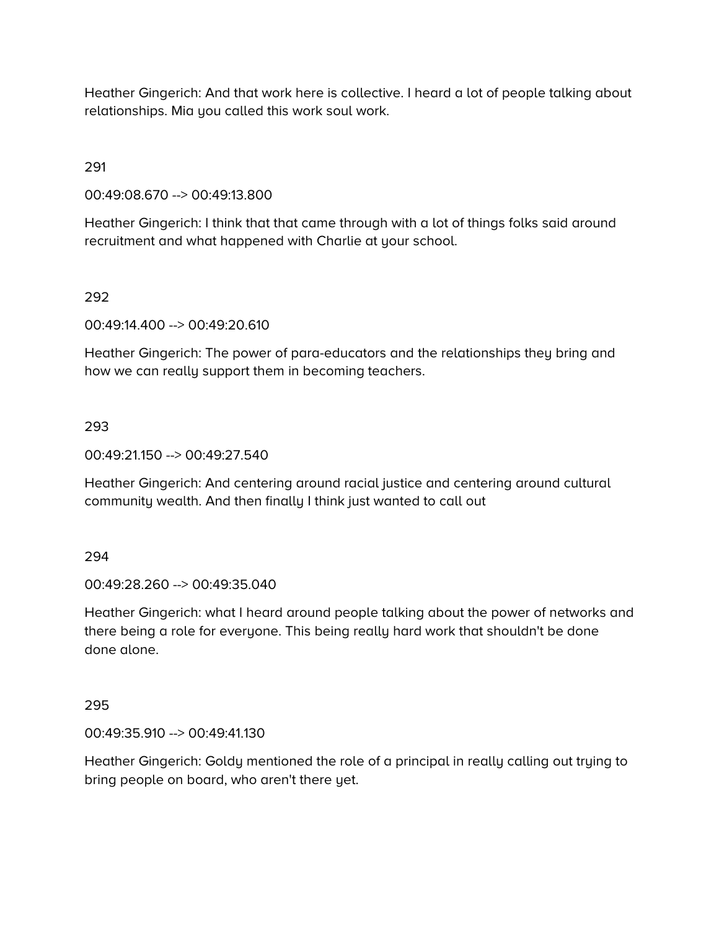Heather Gingerich: And that work here is collective. I heard a lot of people talking about relationships. Mia you called this work soul work.

291

00:49:08.670 --> 00:49:13.800

Heather Gingerich: I think that that came through with a lot of things folks said around recruitment and what happened with Charlie at your school.

# 292

00:49:14.400 --> 00:49:20.610

Heather Gingerich: The power of para-educators and the relationships they bring and how we can really support them in becoming teachers.

## 293

00:49:21.150 --> 00:49:27.540

Heather Gingerich: And centering around racial justice and centering around cultural community wealth. And then finally I think just wanted to call out

#### 294

00:49:28.260 --> 00:49:35.040

Heather Gingerich: what I heard around people talking about the power of networks and there being a role for everyone. This being really hard work that shouldn't be done done alone.

#### 295

00:49:35.910 --> 00:49:41.130

Heather Gingerich: Goldy mentioned the role of a principal in really calling out trying to bring people on board, who aren't there yet.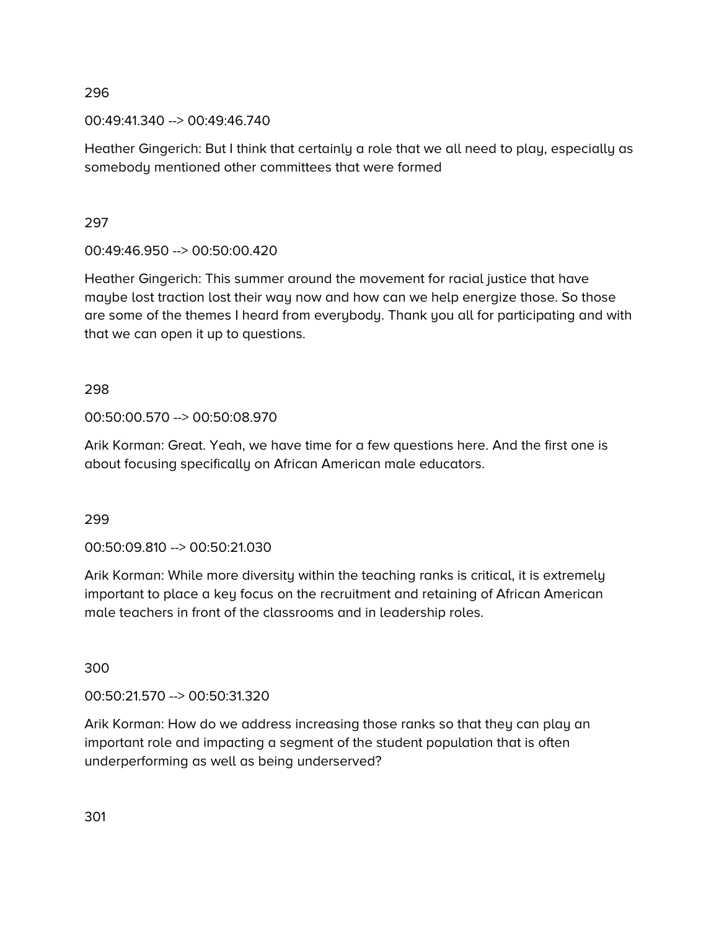00:49:41.340 --> 00:49:46.740

Heather Gingerich: But I think that certainly a role that we all need to play, especially as somebody mentioned other committees that were formed

297

00:49:46.950 --> 00:50:00.420

Heather Gingerich: This summer around the movement for racial justice that have maybe lost traction lost their way now and how can we help energize those. So those are some of the themes I heard from everybody. Thank you all for participating and with that we can open it up to questions.

298

# 00:50:00.570 --> 00:50:08.970

Arik Korman: Great. Yeah, we have time for a few questions here. And the first one is about focusing specifically on African American male educators.

299

00:50:09.810 --> 00:50:21.030

Arik Korman: While more diversity within the teaching ranks is critical, it is extremely important to place a key focus on the recruitment and retaining of African American male teachers in front of the classrooms and in leadership roles.

300

00:50:21.570 --> 00:50:31.320

Arik Korman: How do we address increasing those ranks so that they can play an important role and impacting a segment of the student population that is often underperforming as well as being underserved?

301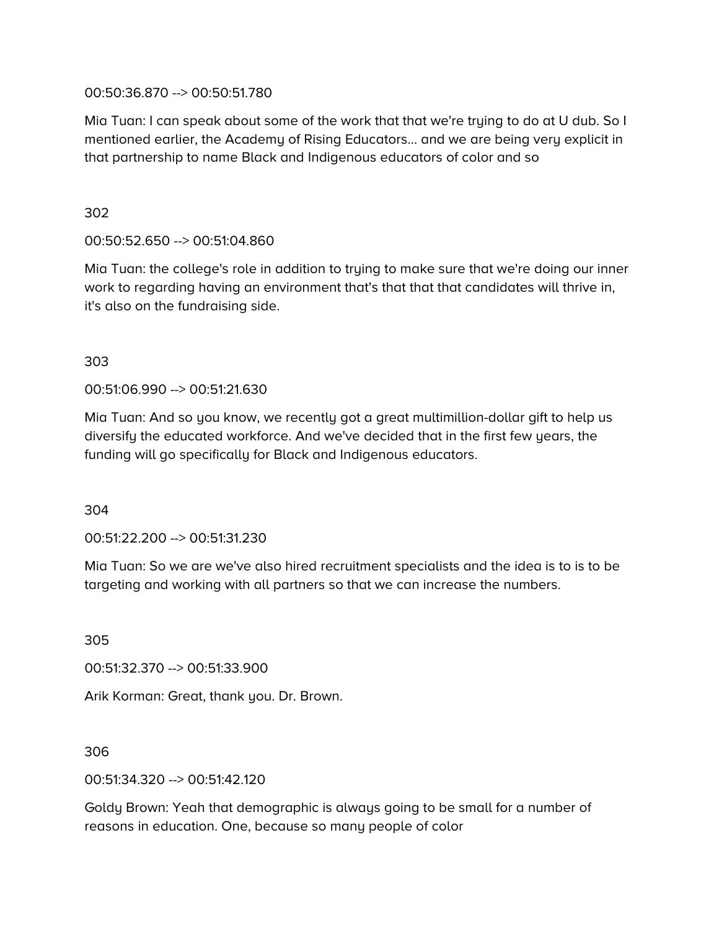00:50:36.870 --> 00:50:51.780

Mia Tuan: I can speak about some of the work that that we're trying to do at U dub. So I mentioned earlier, the Academy of Rising Educators… and we are being very explicit in that partnership to name Black and Indigenous educators of color and so

302

00:50:52.650 --> 00:51:04.860

Mia Tuan: the college's role in addition to trying to make sure that we're doing our inner work to regarding having an environment that's that that that candidates will thrive in, it's also on the fundraising side.

303

00:51:06.990 --> 00:51:21.630

Mia Tuan: And so you know, we recently got a great multimillion-dollar gift to help us diversify the educated workforce. And we've decided that in the first few years, the funding will go specifically for Black and Indigenous educators.

304

00:51:22.200 --> 00:51:31.230

Mia Tuan: So we are we've also hired recruitment specialists and the idea is to is to be targeting and working with all partners so that we can increase the numbers.

305

00:51:32.370 --> 00:51:33.900

Arik Korman: Great, thank you. Dr. Brown.

306

00:51:34.320 --> 00:51:42.120

Goldy Brown: Yeah that demographic is always going to be small for a number of reasons in education. One, because so many people of color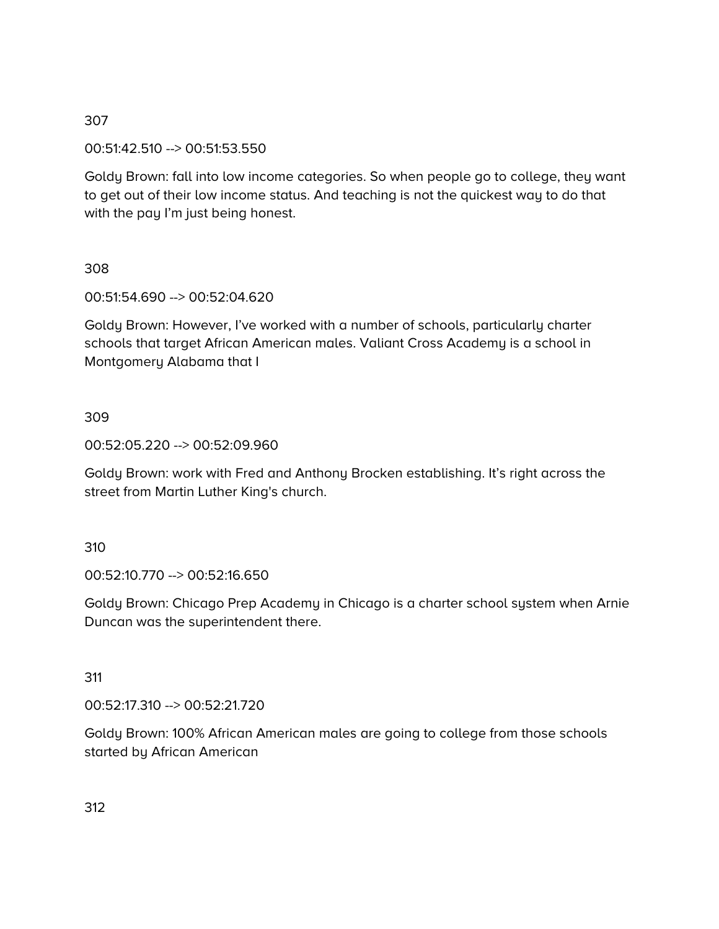## 00:51:42.510 --> 00:51:53.550

Goldy Brown: fall into low income categories. So when people go to college, they want to get out of their low income status. And teaching is not the quickest way to do that with the pay I'm just being honest.

## 308

00:51:54.690 --> 00:52:04.620

Goldy Brown: However, I've worked with a number of schools, particularly charter schools that target African American males. Valiant Cross Academy is a school in Montgomery Alabama that I

# 309

00:52:05.220 --> 00:52:09.960

Goldy Brown: work with Fred and Anthony Brocken establishing. It's right across the street from Martin Luther King's church.

# 310

00:52:10.770 --> 00:52:16.650

Goldy Brown: Chicago Prep Academy in Chicago is a charter school system when Arnie Duncan was the superintendent there.

#### 311

00:52:17.310 --> 00:52:21.720

Goldy Brown: 100% African American males are going to college from those schools started by African American

312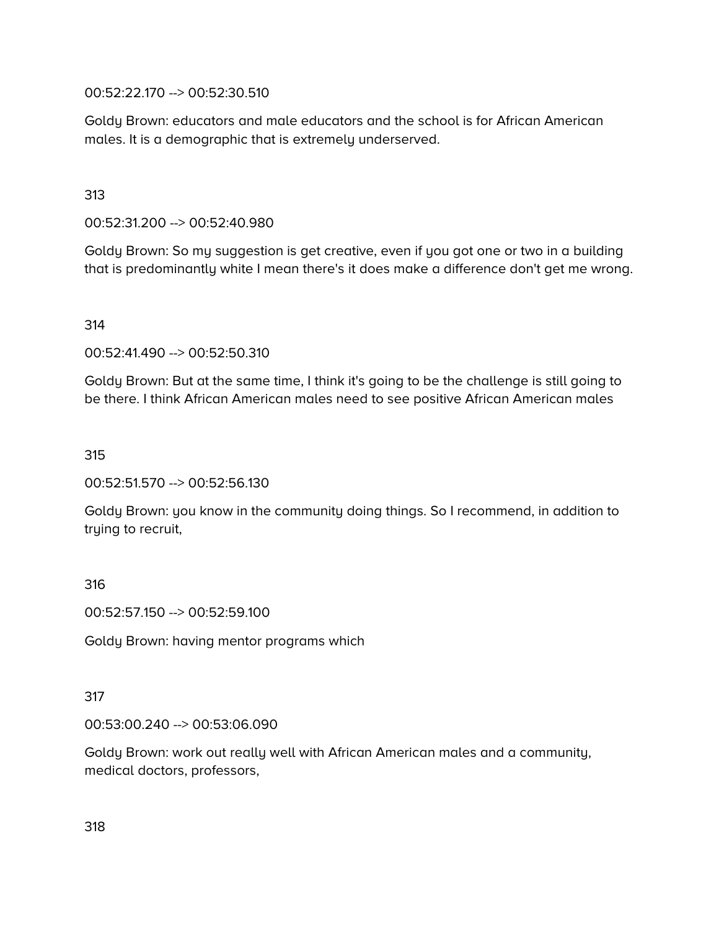00:52:22.170 --> 00:52:30.510

Goldy Brown: educators and male educators and the school is for African American males. It is a demographic that is extremely underserved.

313

00:52:31.200 --> 00:52:40.980

Goldy Brown: So my suggestion is get creative, even if you got one or two in a building that is predominantly white I mean there's it does make a difference don't get me wrong.

314

00:52:41.490 --> 00:52:50.310

Goldy Brown: But at the same time, I think it's going to be the challenge is still going to be there. I think African American males need to see positive African American males

315

00:52:51.570 --> 00:52:56.130

Goldy Brown: you know in the community doing things. So I recommend, in addition to trying to recruit,

316

00:52:57.150 --> 00:52:59.100

Goldy Brown: having mentor programs which

317

00:53:00.240 --> 00:53:06.090

Goldy Brown: work out really well with African American males and a community, medical doctors, professors,

318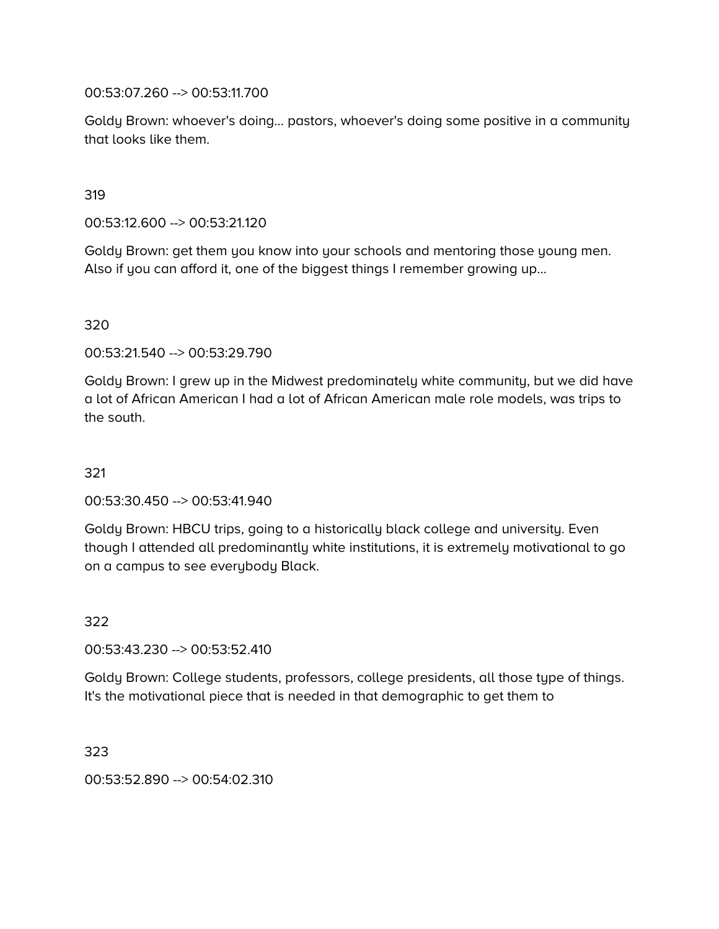00:53:07.260 --> 00:53:11.700

Goldy Brown: whoever's doing… pastors, whoever's doing some positive in a community that looks like them.

319

00:53:12.600 --> 00:53:21.120

Goldy Brown: get them you know into your schools and mentoring those young men. Also if you can afford it, one of the biggest things I remember growing up…

320

00:53:21.540 --> 00:53:29.790

Goldy Brown: I grew up in the Midwest predominately white community, but we did have a lot of African American I had a lot of African American male role models, was trips to the south.

321

00:53:30.450 --> 00:53:41.940

Goldy Brown: HBCU trips, going to a historically black college and university. Even though I attended all predominantly white institutions, it is extremely motivational to go on a campus to see everybody Black.

322

00:53:43.230 --> 00:53:52.410

Goldy Brown: College students, professors, college presidents, all those type of things. It's the motivational piece that is needed in that demographic to get them to

323

00:53:52.890 --> 00:54:02.310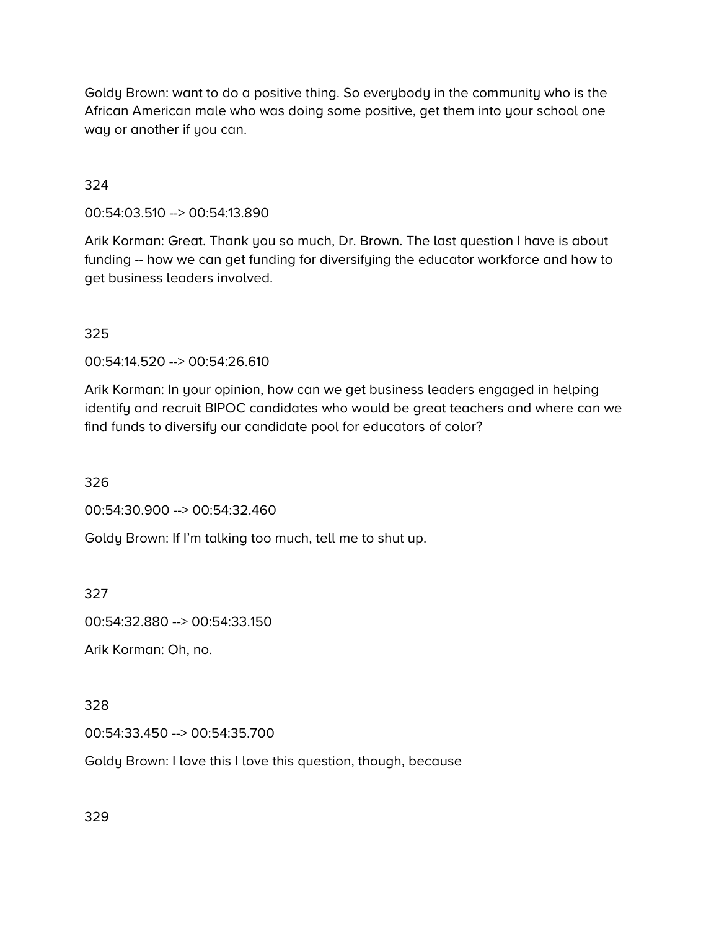Goldy Brown: want to do a positive thing. So everybody in the community who is the African American male who was doing some positive, get them into your school one way or another if you can.

## 324

00:54:03.510 --> 00:54:13.890

Arik Korman: Great. Thank you so much, Dr. Brown. The last question I have is about funding -- how we can get funding for diversifying the educator workforce and how to get business leaders involved.

#### 325

00:54:14.520 --> 00:54:26.610

Arik Korman: In your opinion, how can we get business leaders engaged in helping identify and recruit BIPOC candidates who would be great teachers and where can we find funds to diversify our candidate pool for educators of color?

326

00:54:30.900 --> 00:54:32.460

Goldy Brown: If I'm talking too much, tell me to shut up.

327

00:54:32.880 --> 00:54:33.150

Arik Korman: Oh, no.

# 328

00:54:33.450 --> 00:54:35.700

Goldy Brown: I love this I love this question, though, because

329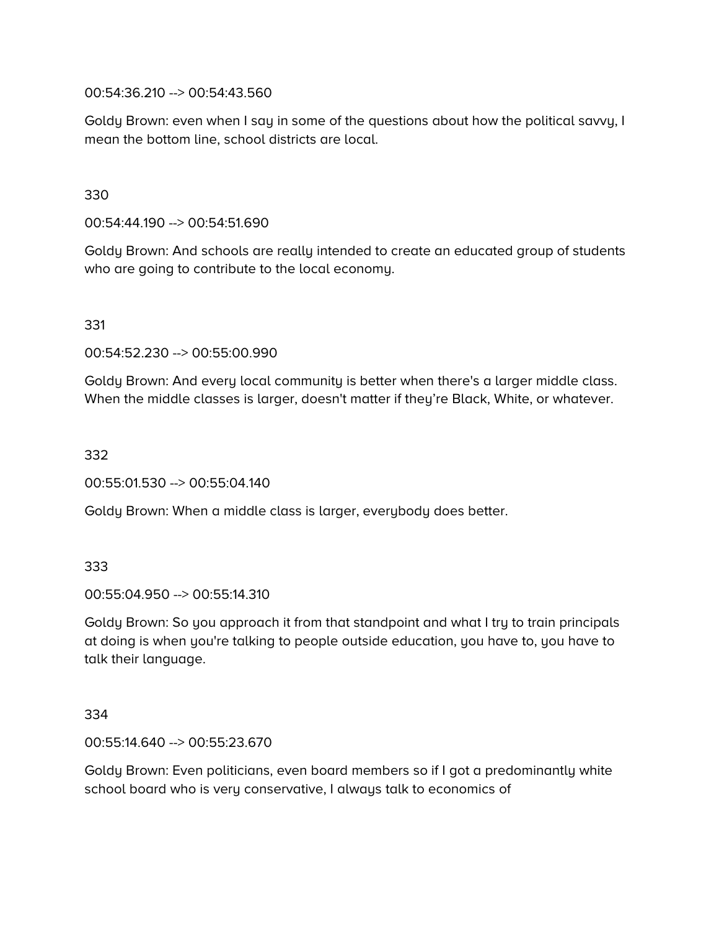00:54:36.210 --> 00:54:43.560

Goldy Brown: even when I say in some of the questions about how the political savvy, I mean the bottom line, school districts are local.

330

00:54:44.190 --> 00:54:51.690

Goldy Brown: And schools are really intended to create an educated group of students who are going to contribute to the local economy.

331

00:54:52.230 --> 00:55:00.990

Goldy Brown: And every local community is better when there's a larger middle class. When the middle classes is larger, doesn't matter if they're Black, White, or whatever.

332

00:55:01.530 --> 00:55:04.140

Goldy Brown: When a middle class is larger, everybody does better.

333

00:55:04.950 --> 00:55:14.310

Goldy Brown: So you approach it from that standpoint and what I try to train principals at doing is when you're talking to people outside education, you have to, you have to talk their language.

334

00:55:14.640 --> 00:55:23.670

Goldy Brown: Even politicians, even board members so if I got a predominantly white school board who is very conservative, I always talk to economics of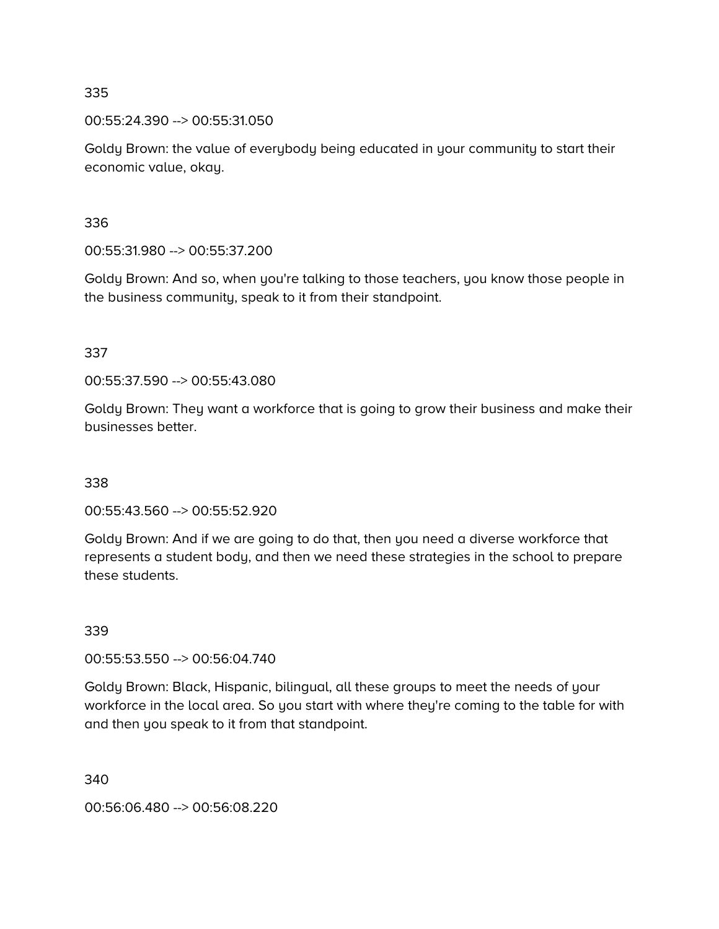00:55:24.390 --> 00:55:31.050

Goldy Brown: the value of everybody being educated in your community to start their economic value, okay.

## 336

00:55:31.980 --> 00:55:37.200

Goldy Brown: And so, when you're talking to those teachers, you know those people in the business community, speak to it from their standpoint.

# 337

00:55:37.590 --> 00:55:43.080

Goldy Brown: They want a workforce that is going to grow their business and make their businesses better.

# 338

00:55:43.560 --> 00:55:52.920

Goldy Brown: And if we are going to do that, then you need a diverse workforce that represents a student body, and then we need these strategies in the school to prepare these students.

# 339

00:55:53.550 --> 00:56:04.740

Goldy Brown: Black, Hispanic, bilingual, all these groups to meet the needs of your workforce in the local area. So you start with where they're coming to the table for with and then you speak to it from that standpoint.

340

00:56:06.480 --> 00:56:08.220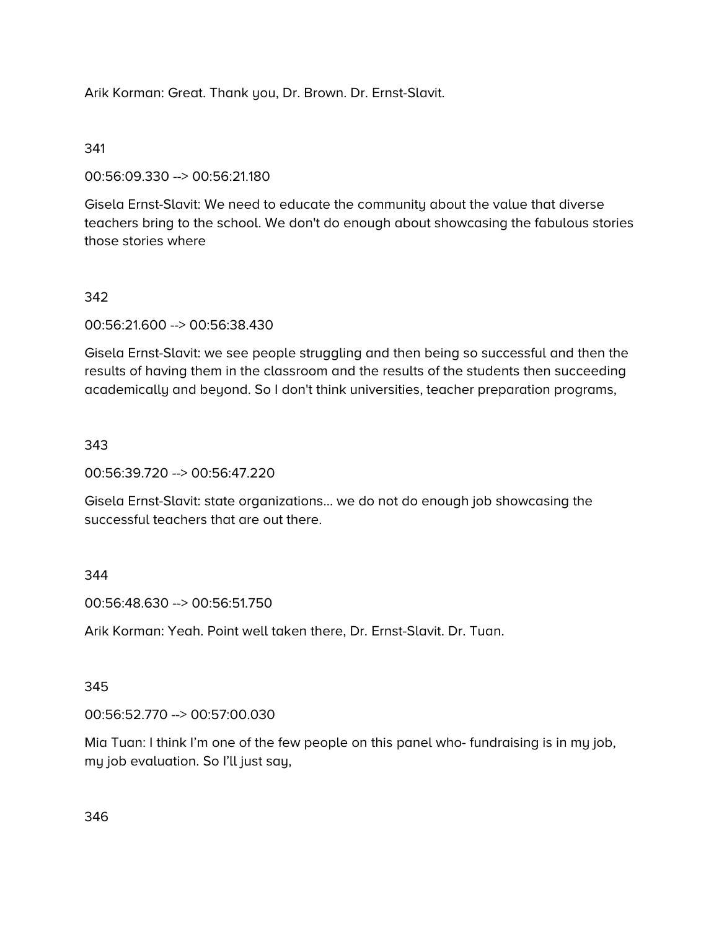Arik Korman: Great. Thank you, Dr. Brown. Dr. Ernst-Slavit.

#### 341

00:56:09.330 --> 00:56:21.180

Gisela Ernst-Slavit: We need to educate the community about the value that diverse teachers bring to the school. We don't do enough about showcasing the fabulous stories those stories where

# 342

00:56:21.600 --> 00:56:38.430

Gisela Ernst-Slavit: we see people struggling and then being so successful and then the results of having them in the classroom and the results of the students then succeeding academically and beyond. So I don't think universities, teacher preparation programs,

## 343

00:56:39.720 --> 00:56:47.220

Gisela Ernst-Slavit: state organizations… we do not do enough job showcasing the successful teachers that are out there.

#### 344

00:56:48.630 --> 00:56:51.750

Arik Korman: Yeah. Point well taken there, Dr. Ernst-Slavit. Dr. Tuan.

#### 345

00:56:52.770 --> 00:57:00.030

Mia Tuan: I think I'm one of the few people on this panel who- fundraising is in my job, my job evaluation. So I'll just say,

346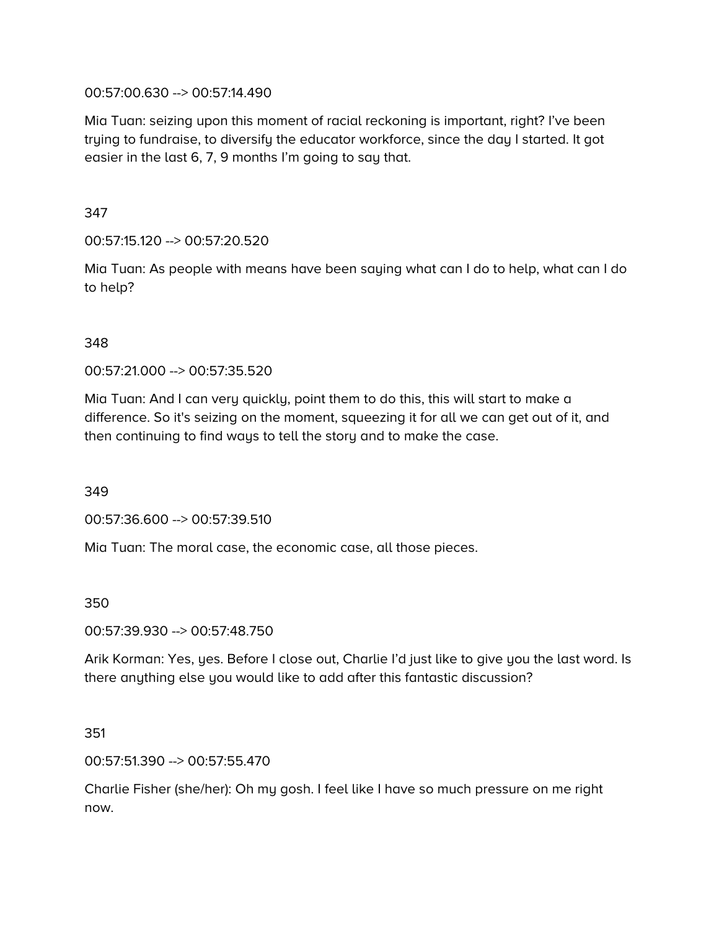#### 00:57:00.630 --> 00:57:14.490

Mia Tuan: seizing upon this moment of racial reckoning is important, right? I've been trying to fundraise, to diversify the educator workforce, since the day I started. It got easier in the last 6, 7, 9 months I'm going to say that.

## 347

00:57:15.120 --> 00:57:20.520

Mia Tuan: As people with means have been saying what can I do to help, what can I do to help?

## 348

00:57:21.000 --> 00:57:35.520

Mia Tuan: And I can very quickly, point them to do this, this will start to make a difference. So it's seizing on the moment, squeezing it for all we can get out of it, and then continuing to find ways to tell the story and to make the case.

# 349

00:57:36.600 --> 00:57:39.510

Mia Tuan: The moral case, the economic case, all those pieces.

#### 350

00:57:39.930 --> 00:57:48.750

Arik Korman: Yes, yes. Before I close out, Charlie I'd just like to give you the last word. Is there anything else you would like to add after this fantastic discussion?

#### 351

00:57:51.390 --> 00:57:55.470

Charlie Fisher (she/her): Oh my gosh. I feel like I have so much pressure on me right now.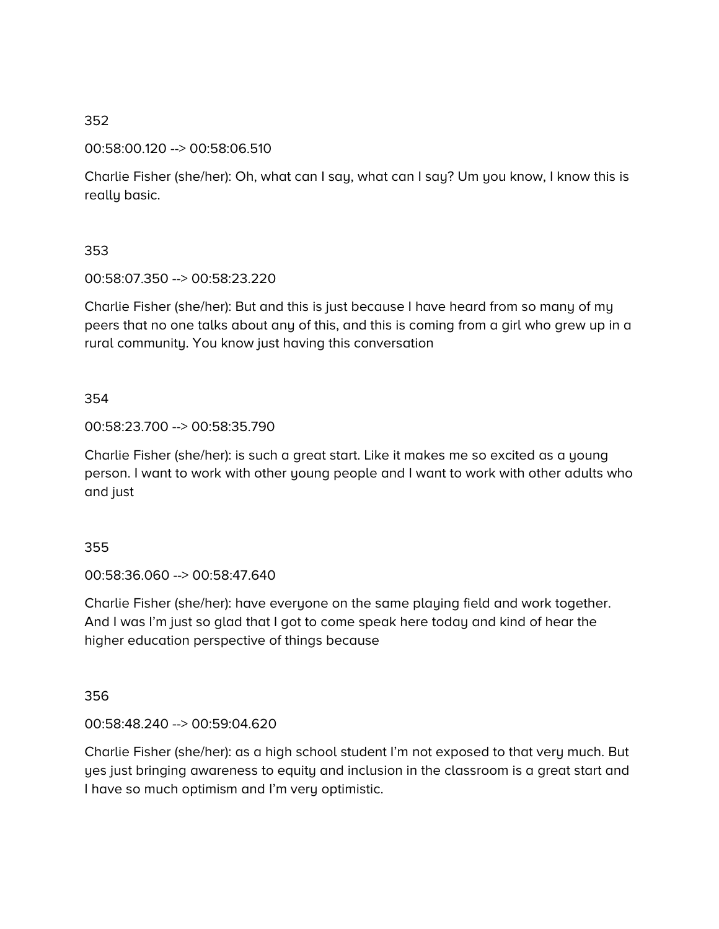00:58:00.120 --> 00:58:06.510

Charlie Fisher (she/her): Oh, what can I say, what can I say? Um you know, I know this is really basic.

## 353

00:58:07.350 --> 00:58:23.220

Charlie Fisher (she/her): But and this is just because I have heard from so many of my peers that no one talks about any of this, and this is coming from a girl who grew up in a rural community. You know just having this conversation

# 354

## 00:58:23.700 --> 00:58:35.790

Charlie Fisher (she/her): is such a great start. Like it makes me so excited as a young person. I want to work with other young people and I want to work with other adults who and just

# 355

00:58:36.060 --> 00:58:47.640

Charlie Fisher (she/her): have everyone on the same playing field and work together. And I was I'm just so glad that I got to come speak here today and kind of hear the higher education perspective of things because

# 356

# 00:58:48.240 --> 00:59:04.620

Charlie Fisher (she/her): as a high school student I'm not exposed to that very much. But yes just bringing awareness to equity and inclusion in the classroom is a great start and I have so much optimism and I'm very optimistic.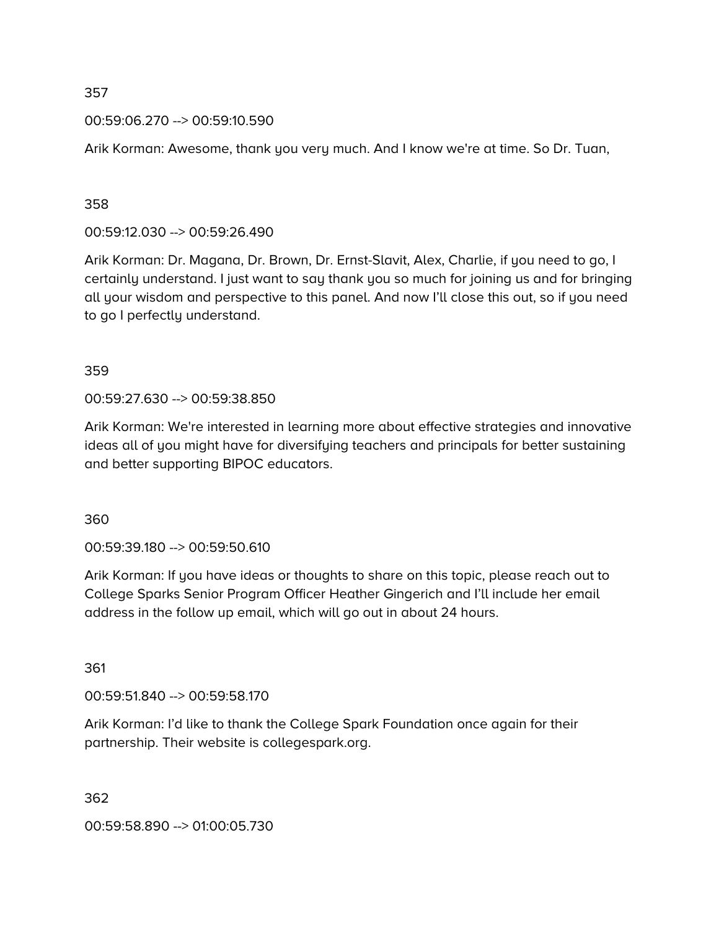#### 00:59:06.270 --> 00:59:10.590

Arik Korman: Awesome, thank you very much. And I know we're at time. So Dr. Tuan,

#### 358

00:59:12.030 --> 00:59:26.490

Arik Korman: Dr. Magana, Dr. Brown, Dr. Ernst-Slavit, Alex, Charlie, if you need to go, I certainly understand. I just want to say thank you so much for joining us and for bringing all your wisdom and perspective to this panel. And now I'll close this out, so if you need to go I perfectly understand.

#### 359

00:59:27.630 --> 00:59:38.850

Arik Korman: We're interested in learning more about effective strategies and innovative ideas all of you might have for diversifying teachers and principals for better sustaining and better supporting BIPOC educators.

360

00:59:39.180 --> 00:59:50.610

Arik Korman: If you have ideas or thoughts to share on this topic, please reach out to College Sparks Senior Program Officer Heather Gingerich and I'll include her email address in the follow up email, which will go out in about 24 hours.

361

00:59:51.840 --> 00:59:58.170

Arik Korman: I'd like to thank the College Spark Foundation once again for their partnership. Their website is collegespark.org.

362

00:59:58.890 --> 01:00:05.730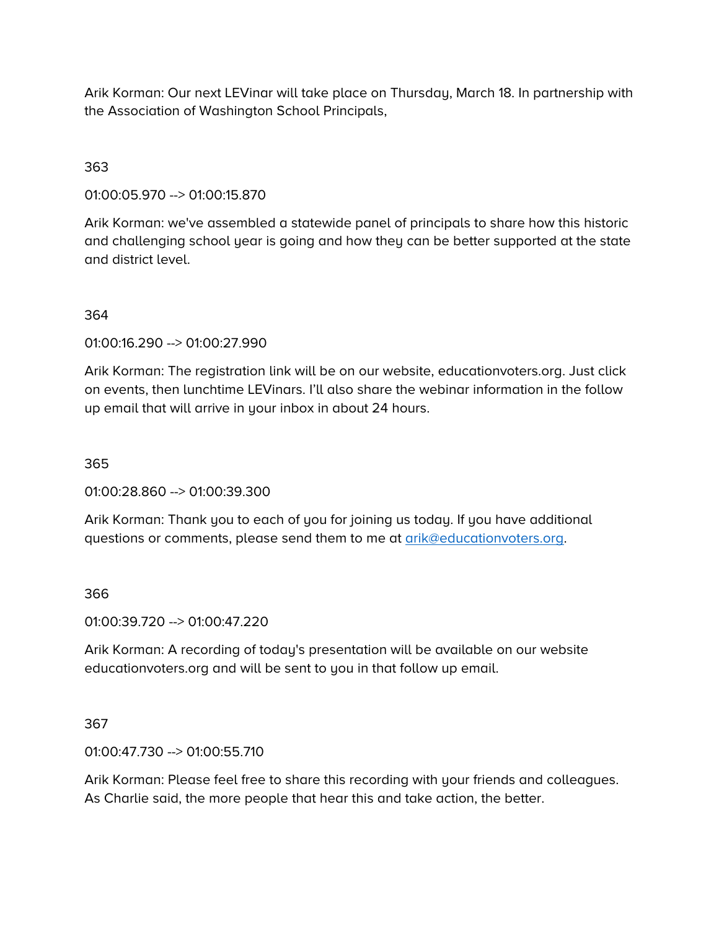Arik Korman: Our next LEVinar will take place on Thursday, March 18. In partnership with the Association of Washington School Principals,

## 363

01:00:05.970 --> 01:00:15.870

Arik Korman: we've assembled a statewide panel of principals to share how this historic and challenging school year is going and how they can be better supported at the state and district level.

## 364

01:00:16.290 --> 01:00:27.990

Arik Korman: The registration link will be on our website, educationvoters.org. Just click on events, then lunchtime LEVinars. I'll also share the webinar information in the follow up email that will arrive in your inbox in about 24 hours.

#### 365

01:00:28.860 --> 01:00:39.300

Arik Korman: Thank you to each of you for joining us today. If you have additional questions or comments, please send them to me at [arik@educationvoters.org.](mailto:arik@educationvoters.org)

#### 366

01:00:39.720 --> 01:00:47.220

Arik Korman: A recording of today's presentation will be available on our website educationvoters.org and will be sent to you in that follow up email.

#### 367

01:00:47.730 --> 01:00:55.710

Arik Korman: Please feel free to share this recording with your friends and colleagues. As Charlie said, the more people that hear this and take action, the better.